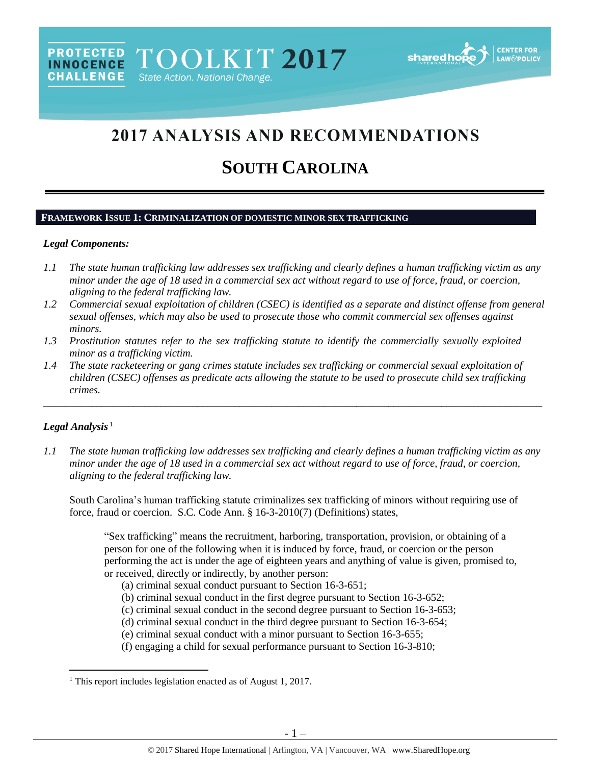# 2017 ANALYSIS AND RECOMMENDATIONS

# **SOUTH CAROLINA**

## **FRAMEWORK ISSUE 1: CRIMINALIZATION OF DOMESTIC MINOR SEX TRAFFICKING**

#### *Legal Components:*

- *1.1 The state human trafficking law addresses sex trafficking and clearly defines a human trafficking victim as any minor under the age of 18 used in a commercial sex act without regard to use of force, fraud, or coercion, aligning to the federal trafficking law.*
- *1.2 Commercial sexual exploitation of children (CSEC) is identified as a separate and distinct offense from general sexual offenses, which may also be used to prosecute those who commit commercial sex offenses against minors.*
- *1.3 Prostitution statutes refer to the sex trafficking statute to identify the commercially sexually exploited minor as a trafficking victim.*
- *1.4 The state racketeering or gang crimes statute includes sex trafficking or commercial sexual exploitation of children (CSEC) offenses as predicate acts allowing the statute to be used to prosecute child sex trafficking crimes.*

\_\_\_\_\_\_\_\_\_\_\_\_\_\_\_\_\_\_\_\_\_\_\_\_\_\_\_\_\_\_\_\_\_\_\_\_\_\_\_\_\_\_\_\_\_\_\_\_\_\_\_\_\_\_\_\_\_\_\_\_\_\_\_\_\_\_\_\_\_\_\_\_\_\_\_\_\_\_\_\_\_\_\_\_\_\_\_\_\_\_\_\_\_\_

# Legal Analysis<sup>1</sup>

 $\overline{\phantom{a}}$ 

*1.1 The state human trafficking law addresses sex trafficking and clearly defines a human trafficking victim as any minor under the age of 18 used in a commercial sex act without regard to use of force, fraud, or coercion, aligning to the federal trafficking law.*

South Carolina's human trafficking statute criminalizes sex trafficking of minors without requiring use of force, fraud or coercion. S.C. Code Ann. § 16-3-2010(7) (Definitions) states,

"Sex trafficking" means the recruitment, harboring, transportation, provision, or obtaining of a person for one of the following when it is induced by force, fraud, or coercion or the person performing the act is under the age of eighteen years and anything of value is given, promised to, or received, directly or indirectly, by another person:

- (a) criminal sexual conduct pursuant to Section 16-3-651;
- (b) criminal sexual conduct in the first degree pursuant to Section 16-3-652;
- (c) criminal sexual conduct in the second degree pursuant to Section 16-3-653;
- (d) criminal sexual conduct in the third degree pursuant to Section 16-3-654;
- (e) criminal sexual conduct with a minor pursuant to Section 16-3-655;
- (f) engaging a child for sexual performance pursuant to Section 16-3-810;

<sup>&</sup>lt;sup>1</sup> This report includes legislation enacted as of August 1, 2017.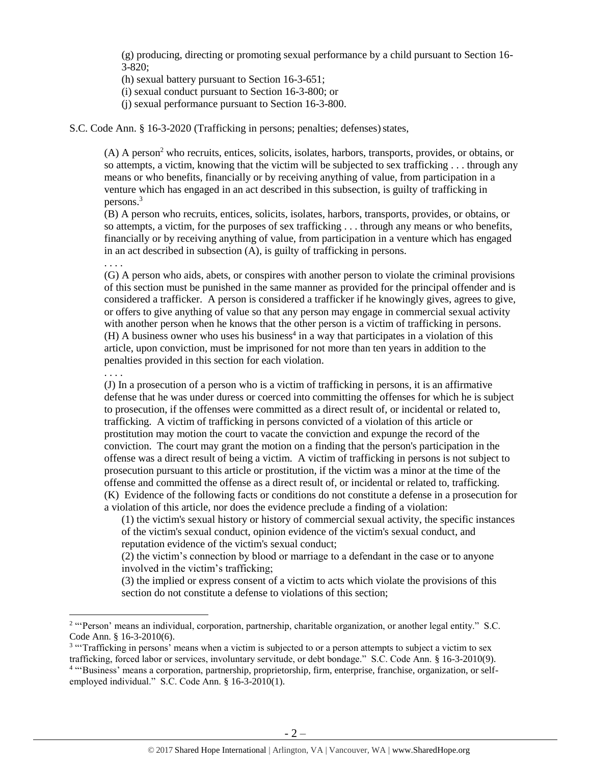(g) producing, directing or promoting sexual performance by a child pursuant to Section 16- 3-820;

(h) sexual battery pursuant to Section 16-3-651;

(i) sexual conduct pursuant to Section 16-3-800; or

(j) sexual performance pursuant to Section 16-3-800.

S.C. Code Ann. § 16-3-2020 (Trafficking in persons; penalties; defenses) states,

(A) A person<sup>2</sup> who recruits, entices, solicits, isolates, harbors, transports, provides, or obtains, or so attempts, a victim, knowing that the victim will be subjected to sex trafficking . . . through any means or who benefits, financially or by receiving anything of value, from participation in a venture which has engaged in an act described in this subsection, is guilty of trafficking in persons.<sup>3</sup>

(B) A person who recruits, entices, solicits, isolates, harbors, transports, provides, or obtains, or so attempts, a victim, for the purposes of sex trafficking . . . through any means or who benefits, financially or by receiving anything of value, from participation in a venture which has engaged in an act described in subsection (A), is guilty of trafficking in persons.

(G) A person who aids, abets, or conspires with another person to violate the criminal provisions of this section must be punished in the same manner as provided for the principal offender and is considered a trafficker. A person is considered a trafficker if he knowingly gives, agrees to give, or offers to give anything of value so that any person may engage in commercial sexual activity with another person when he knows that the other person is a victim of trafficking in persons.  $(H)$  A business owner who uses his business<sup>4</sup> in a way that participates in a violation of this article, upon conviction, must be imprisoned for not more than ten years in addition to the penalties provided in this section for each violation.

. . . .

 $\overline{\phantom{a}}$ 

. . . .

(J) In a prosecution of a person who is a victim of trafficking in persons, it is an affirmative defense that he was under duress or coerced into committing the offenses for which he is subject to prosecution, if the offenses were committed as a direct result of, or incidental or related to, trafficking. A victim of trafficking in persons convicted of a violation of this article or prostitution may motion the court to vacate the conviction and expunge the record of the conviction. The court may grant the motion on a finding that the person's participation in the offense was a direct result of being a victim. A victim of trafficking in persons is not subject to prosecution pursuant to this article or prostitution, if the victim was a minor at the time of the offense and committed the offense as a direct result of, or incidental or related to, trafficking. (K) Evidence of the following facts or conditions do not constitute a defense in a prosecution for a violation of this article, nor does the evidence preclude a finding of a violation:

(1) the victim's sexual history or history of commercial sexual activity, the specific instances of the victim's sexual conduct, opinion evidence of the victim's sexual conduct, and reputation evidence of the victim's sexual conduct;

(2) the victim's connection by blood or marriage to a defendant in the case or to anyone involved in the victim's trafficking;

(3) the implied or express consent of a victim to acts which violate the provisions of this section do not constitute a defense to violations of this section;

<sup>2</sup> "'Person' means an individual, corporation, partnership, charitable organization, or another legal entity." S.C. Code Ann. § 16-3-2010(6).

<sup>&</sup>lt;sup>3</sup> "Trafficking in persons' means when a victim is subjected to or a person attempts to subject a victim to sex trafficking, forced labor or services, involuntary servitude, or debt bondage." S.C. Code Ann. § 16-3-2010(9). 4 "'Business' means a corporation, partnership, proprietorship, firm, enterprise, franchise, organization, or selfemployed individual." S.C. Code Ann. § 16-3-2010(1).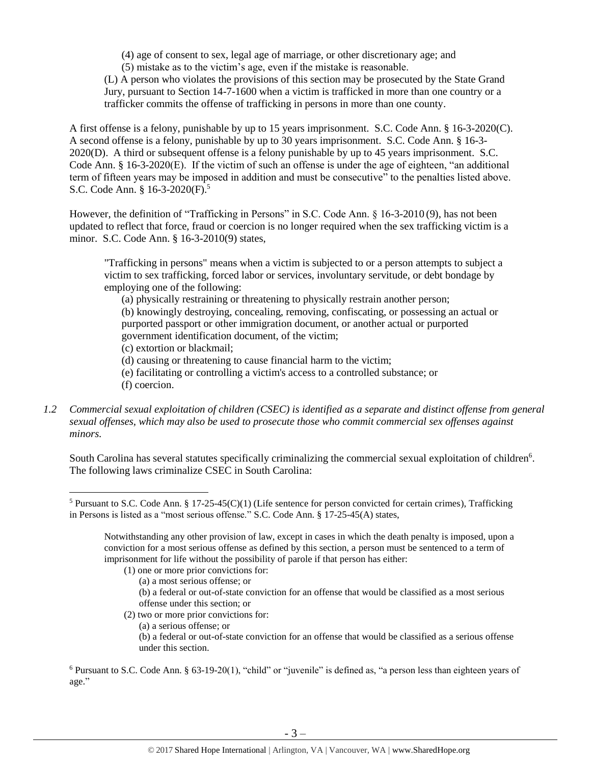(4) age of consent to sex, legal age of marriage, or other discretionary age; and

(5) mistake as to the victim's age, even if the mistake is reasonable.

(L) A person who violates the provisions of this section may be prosecuted by the State Grand Jury, pursuant to Section 14-7-1600 when a victim is trafficked in more than one country or a trafficker commits the offense of trafficking in persons in more than one county.

A first offense is a felony, punishable by up to 15 years imprisonment. S.C. Code Ann. § 16-3-2020(C). A second offense is a felony, punishable by up to 30 years imprisonment. S.C. Code Ann. § 16-3- 2020(D). A third or subsequent offense is a felony punishable by up to 45 years imprisonment. S.C. Code Ann. § 16-3-2020(E). If the victim of such an offense is under the age of eighteen, "an additional term of fifteen years may be imposed in addition and must be consecutive" to the penalties listed above. S.C. Code Ann. § 16-3-2020(F).<sup>5</sup>

However, the definition of "Trafficking in Persons" in S.C. Code Ann. § 16-3-2010 (9), has not been updated to reflect that force, fraud or coercion is no longer required when the sex trafficking victim is a minor. S.C. Code Ann. § 16-3-2010(9) states,

<span id="page-2-0"></span>"Trafficking in persons" means when a victim is subjected to or a person attempts to subject a victim to sex trafficking, forced labor or services, involuntary servitude, or debt bondage by employing one of the following:

(a) physically restraining or threatening to physically restrain another person;

(b) knowingly destroying, concealing, removing, confiscating, or possessing an actual or purported passport or other immigration document, or another actual or purported government identification document, of the victim;

(c) extortion or blackmail;

l

(d) causing or threatening to cause financial harm to the victim;

- (e) facilitating or controlling a victim's access to a controlled substance; or (f) coercion.
- *1.2 Commercial sexual exploitation of children (CSEC) is identified as a separate and distinct offense from general sexual offenses, which may also be used to prosecute those who commit commercial sex offenses against minors.*

South Carolina has several statutes specifically criminalizing the commercial sexual exploitation of children<sup>6</sup>. The following laws criminalize CSEC in South Carolina:

- (1) one or more prior convictions for:
	- (a) a most serious offense; or
	- (b) a federal or out-of-state conviction for an offense that would be classified as a most serious offense under this section; or
- (2) two or more prior convictions for:
	- (a) a serious offense; or

(b) a federal or out-of-state conviction for an offense that would be classified as a serious offense under this section.

<sup>&</sup>lt;sup>5</sup> Pursuant to S.C. Code Ann. § 17-25-45(C)(1) (Life sentence for person convicted for certain crimes), Trafficking in Persons is listed as a "most serious offense." S.C. Code Ann. § 17-25-45(A) states,

Notwithstanding any other provision of law, except in cases in which the death penalty is imposed, upon a conviction for a most serious offense as defined by this section, a person must be sentenced to a term of imprisonment for life without the possibility of parole if that person has either:

<sup>6</sup> Pursuant to S.C. Code Ann. § 63-19-20(1), "child" or "juvenile" is defined as, "a person less than eighteen years of age."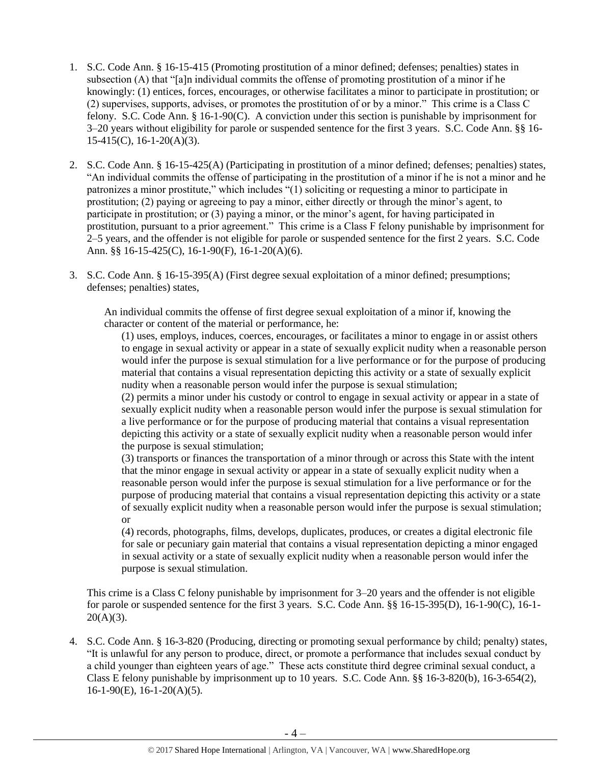- 1. S.C. Code Ann. § 16-15-415 (Promoting prostitution of a minor defined; defenses; penalties) states in subsection (A) that "[a]n individual commits the offense of promoting prostitution of a minor if he knowingly: (1) entices, forces, encourages, or otherwise facilitates a minor to participate in prostitution; or (2) supervises, supports, advises, or promotes the prostitution of or by a minor." This crime is a Class C felony. S.C. Code Ann. § 16-1-90(C). A conviction under this section is punishable by imprisonment for 3–20 years without eligibility for parole or suspended sentence for the first 3 years. S.C. Code Ann. §§ 16- 15-415(C), 16-1-20(A)(3).
- 2. S.C. Code Ann. § 16-15-425(A) (Participating in prostitution of a minor defined; defenses; penalties) states, "An individual commits the offense of participating in the prostitution of a minor if he is not a minor and he patronizes a minor prostitute," which includes "(1) soliciting or requesting a minor to participate in prostitution; (2) paying or agreeing to pay a minor, either directly or through the minor's agent, to participate in prostitution; or (3) paying a minor, or the minor's agent, for having participated in prostitution, pursuant to a prior agreement." This crime is a Class F felony punishable by imprisonment for 2–5 years, and the offender is not eligible for parole or suspended sentence for the first 2 years. S.C. Code Ann. §§ 16-15-425(C), 16-1-90(F), 16-1-20(A)(6).
- 3. S.C. Code Ann. § 16-15-395(A) (First degree sexual exploitation of a minor defined; presumptions; defenses; penalties) states,

An individual commits the offense of first degree sexual exploitation of a minor if, knowing the character or content of the material or performance, he:

(1) uses, employs, induces, coerces, encourages, or facilitates a minor to engage in or assist others to engage in sexual activity or appear in a state of sexually explicit nudity when a reasonable person would infer the purpose is sexual stimulation for a live performance or for the purpose of producing material that contains a visual representation depicting this activity or a state of sexually explicit nudity when a reasonable person would infer the purpose is sexual stimulation;

(2) permits a minor under his custody or control to engage in sexual activity or appear in a state of sexually explicit nudity when a reasonable person would infer the purpose is sexual stimulation for a live performance or for the purpose of producing material that contains a visual representation depicting this activity or a state of sexually explicit nudity when a reasonable person would infer the purpose is sexual stimulation;

(3) transports or finances the transportation of a minor through or across this State with the intent that the minor engage in sexual activity or appear in a state of sexually explicit nudity when a reasonable person would infer the purpose is sexual stimulation for a live performance or for the purpose of producing material that contains a visual representation depicting this activity or a state of sexually explicit nudity when a reasonable person would infer the purpose is sexual stimulation; or

(4) records, photographs, films, develops, duplicates, produces, or creates a digital electronic file for sale or pecuniary gain material that contains a visual representation depicting a minor engaged in sexual activity or a state of sexually explicit nudity when a reasonable person would infer the purpose is sexual stimulation.

This crime is a Class C felony punishable by imprisonment for 3–20 years and the offender is not eligible for parole or suspended sentence for the first 3 years. S.C. Code Ann. §§ 16-15-395(D), 16-1-90(C), 16-1-  $20(A)(3)$ .

4. S.C. Code Ann. § 16-3-820 (Producing, directing or promoting sexual performance by child; penalty) states, "It is unlawful for any person to produce, direct, or promote a performance that includes sexual conduct by a child younger than eighteen years of age." These acts constitute third degree criminal sexual conduct, a Class E felony punishable by imprisonment up to 10 years. S.C. Code Ann. §§ 16-3-820(b), 16-3-654(2), 16-1-90(E), 16-1-20(A)(5).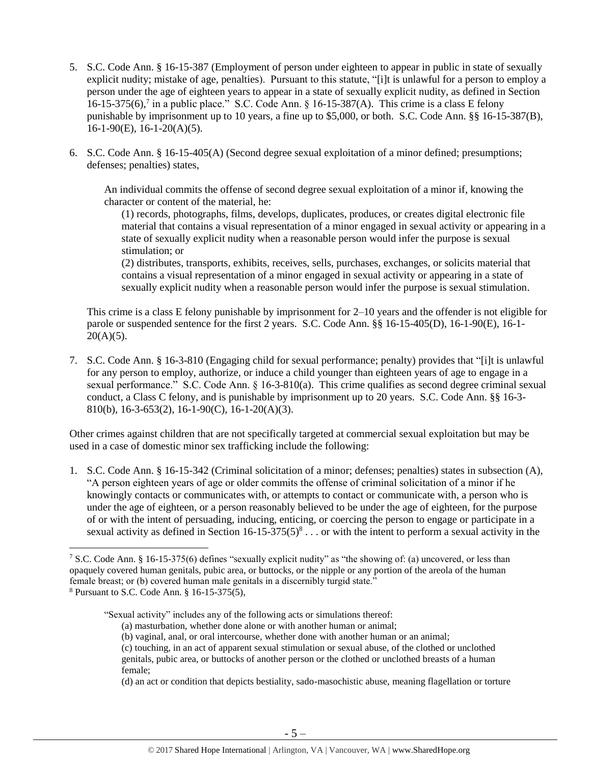- 5. S.C. Code Ann. § 16-15-387 (Employment of person under eighteen to appear in public in state of sexually explicit nudity; mistake of age, penalties). Pursuant to this statute, "[i]t is unlawful for a person to employ a person under the age of eighteen years to appear in a state of sexually explicit nudity, as defined in Section 16-15-375(6),<sup>7</sup> in a public place." S.C. Code Ann. § 16-15-387(A). This crime is a class E felony punishable by imprisonment up to 10 years, a fine up to \$5,000, or both. S.C. Code Ann. §§ 16-15-387(B),  $16-1-90(E)$ ,  $16-1-20(A)(5)$ .
- 6. S.C. Code Ann. § 16-15-405(A) (Second degree sexual exploitation of a minor defined; presumptions; defenses; penalties) states,

An individual commits the offense of second degree sexual exploitation of a minor if, knowing the character or content of the material, he:

(1) records, photographs, films, develops, duplicates, produces, or creates digital electronic file material that contains a visual representation of a minor engaged in sexual activity or appearing in a state of sexually explicit nudity when a reasonable person would infer the purpose is sexual stimulation; or

(2) distributes, transports, exhibits, receives, sells, purchases, exchanges, or solicits material that contains a visual representation of a minor engaged in sexual activity or appearing in a state of sexually explicit nudity when a reasonable person would infer the purpose is sexual stimulation.

This crime is a class E felony punishable by imprisonment for 2–10 years and the offender is not eligible for parole or suspended sentence for the first 2 years. S.C. Code Ann. §§ 16-15-405(D), 16-1-90(E), 16-1-  $20(A)(5)$ .

7. S.C. Code Ann. § 16-3-810 (Engaging child for sexual performance; penalty) provides that "[i]t is unlawful for any person to employ, authorize, or induce a child younger than eighteen years of age to engage in a sexual performance." S.C. Code Ann. § 16-3-810(a). This crime qualifies as second degree criminal sexual conduct, a Class C felony, and is punishable by imprisonment up to 20 years. S.C. Code Ann. §§ 16-3- 810(b), 16-3-653(2), 16-1-90(C), 16-1-20(A)(3).

Other crimes against children that are not specifically targeted at commercial sexual exploitation but may be used in a case of domestic minor sex trafficking include the following:

1. S.C. Code Ann. § 16-15-342 (Criminal solicitation of a minor; defenses; penalties) states in subsection (A), "A person eighteen years of age or older commits the offense of criminal solicitation of a minor if he knowingly contacts or communicates with, or attempts to contact or communicate with, a person who is under the age of eighteen, or a person reasonably believed to be under the age of eighteen, for the purpose of or with the intent of persuading, inducing, enticing, or coercing the person to engage or participate in a sexual activity as defined in Section  $16-15-375(5)^8 \dots$  or with the intent to perform a sexual activity in the

"Sexual activity" includes any of the following acts or simulations thereof:

 $\overline{\phantom{a}}$ <sup>7</sup> S.C. Code Ann. § 16-15-375(6) defines "sexually explicit nudity" as "the showing of: (a) uncovered, or less than opaquely covered human genitals, pubic area, or buttocks, or the nipple or any portion of the areola of the human female breast; or (b) covered human male genitals in a discernibly turgid state."

<sup>8</sup> Pursuant to S.C. Code Ann. § 16-15-375(5),

<sup>(</sup>a) masturbation, whether done alone or with another human or animal;

<sup>(</sup>b) vaginal, anal, or oral intercourse, whether done with another human or an animal;

<sup>(</sup>c) touching, in an act of apparent sexual stimulation or sexual abuse, of the clothed or unclothed genitals, pubic area, or buttocks of another person or the clothed or unclothed breasts of a human female;

<sup>(</sup>d) an act or condition that depicts bestiality, sado-masochistic abuse, meaning flagellation or torture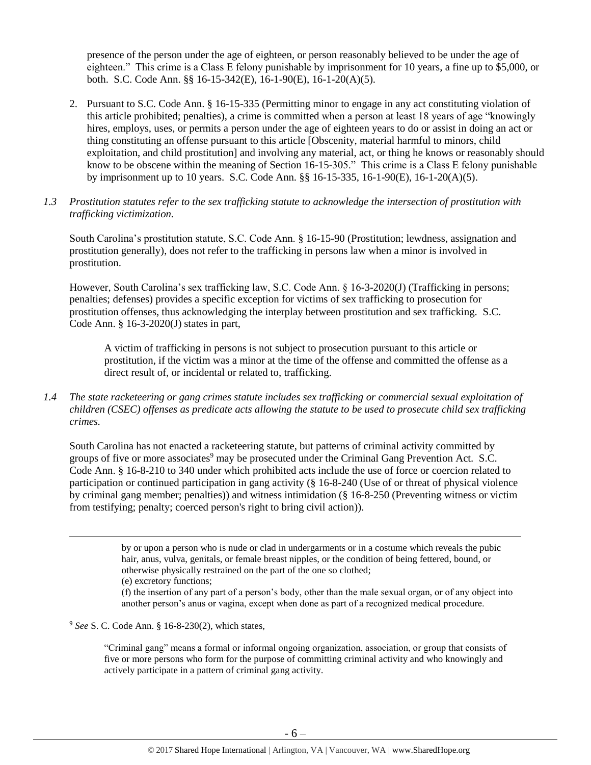presence of the person under the age of eighteen, or person reasonably believed to be under the age of eighteen." This crime is a Class E felony punishable by imprisonment for 10 years, a fine up to \$5,000, or both. S.C. Code Ann. §§ 16-15-342(E), 16-1-90(E), 16-1-20(A)(5).

- 2. Pursuant to S.C. Code Ann. § 16-15-335 (Permitting minor to engage in any act constituting violation of this article prohibited; penalties), a crime is committed when a person at least 18 years of age "knowingly hires, employs, uses, or permits a person under the age of eighteen years to do or assist in doing an act or thing constituting an offense pursuant to this article [Obscenity, material harmful to minors, child exploitation, and child prostitution] and involving any material, act, or thing he knows or reasonably should know to be obscene within the meaning of Section 16-15-305." This crime is a Class E felony punishable by imprisonment up to 10 years. S.C. Code Ann. §§ 16-15-335, 16-1-90(E), 16-1-20(A)(5).
- *1.3 Prostitution statutes refer to the sex trafficking statute to acknowledge the intersection of prostitution with trafficking victimization.*

South Carolina's prostitution statute, S.C. Code Ann. § 16-15-90 (Prostitution; lewdness, assignation and prostitution generally), does not refer to the trafficking in persons law when a minor is involved in prostitution.

However, South Carolina's sex trafficking law, S.C. Code Ann. § 16-3-2020(J) (Trafficking in persons; penalties; defenses) provides a specific exception for victims of sex trafficking to prosecution for prostitution offenses, thus acknowledging the interplay between prostitution and sex trafficking. S.C. Code Ann. § 16-3-2020(J) states in part,

A victim of trafficking in persons is not subject to prosecution pursuant to this article or prostitution, if the victim was a minor at the time of the offense and committed the offense as a direct result of, or incidental or related to, trafficking.

*1.4 The state racketeering or gang crimes statute includes sex trafficking or commercial sexual exploitation of children (CSEC) offenses as predicate acts allowing the statute to be used to prosecute child sex trafficking crimes.* 

South Carolina has not enacted a racketeering statute, but patterns of criminal activity committed by groups of five or more associates<sup>9</sup> may be prosecuted under the Criminal Gang Prevention Act. S.C. Code Ann. § 16-8-210 to 340 under which prohibited acts include the use of force or coercion related to participation or continued participation in gang activity (§ 16-8-240 (Use of or threat of physical violence by criminal gang member; penalties)) and witness intimidation (§ 16-8-250 (Preventing witness or victim from testifying; penalty; coerced person's right to bring civil action)).

> by or upon a person who is nude or clad in undergarments or in a costume which reveals the pubic hair, anus, vulva, genitals, or female breast nipples, or the condition of being fettered, bound, or otherwise physically restrained on the part of the one so clothed;

 $\overline{\phantom{a}}$ 

(f) the insertion of any part of a person's body, other than the male sexual organ, or of any object into another person's anus or vagina, except when done as part of a recognized medical procedure.

<sup>9</sup> *See* S. C. Code Ann. § 16-8-230(2), which states,

"Criminal gang" means a formal or informal ongoing organization, association, or group that consists of five or more persons who form for the purpose of committing criminal activity and who knowingly and actively participate in a pattern of criminal gang activity.

<sup>(</sup>e) excretory functions;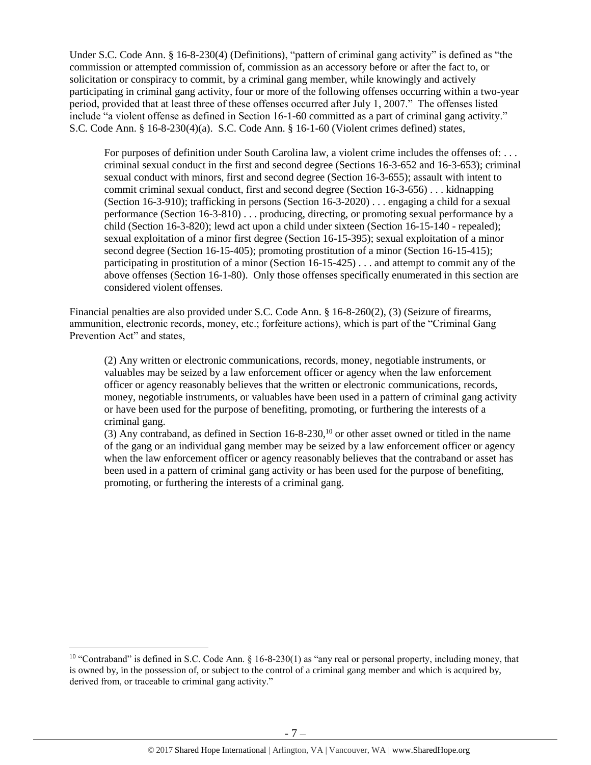Under S.C. Code Ann. § 16-8-230(4) (Definitions), "pattern of criminal gang activity" is defined as "the commission or attempted commission of, commission as an accessory before or after the fact to, or solicitation or conspiracy to commit, by a criminal gang member, while knowingly and actively participating in criminal gang activity, four or more of the following offenses occurring within a two-year period, provided that at least three of these offenses occurred after July 1, 2007." The offenses listed include "a violent offense as defined in Section 16-1-60 committed as a part of criminal gang activity." S.C. Code Ann. § 16-8-230(4)(a). S.C. Code Ann. § 16-1-60 (Violent crimes defined) states,

For purposes of definition under South Carolina law, a violent crime includes the offenses of: . . . criminal sexual conduct in the first and second degree (Sections 16-3-652 and 16-3-653); criminal sexual conduct with minors, first and second degree (Section 16-3-655); assault with intent to commit criminal sexual conduct, first and second degree (Section 16-3-656) . . . kidnapping (Section 16-3-910); trafficking in persons (Section 16-3-2020) . . . engaging a child for a sexual performance (Section 16-3-810) . . . producing, directing, or promoting sexual performance by a child (Section 16-3-820); lewd act upon a child under sixteen (Section 16-15-140 - repealed); sexual exploitation of a minor first degree (Section 16-15-395); sexual exploitation of a minor second degree (Section 16-15-405); promoting prostitution of a minor (Section 16-15-415); participating in prostitution of a minor (Section 16-15-425) . . . and attempt to commit any of the above offenses (Section 16-1-80). Only those offenses specifically enumerated in this section are considered violent offenses.

Financial penalties are also provided under S.C. Code Ann. § 16-8-260(2), (3) (Seizure of firearms, ammunition, electronic records, money, etc.; forfeiture actions), which is part of the "Criminal Gang Prevention Act" and states,

(2) Any written or electronic communications, records, money, negotiable instruments, or valuables may be seized by a law enforcement officer or agency when the law enforcement officer or agency reasonably believes that the written or electronic communications, records, money, negotiable instruments, or valuables have been used in a pattern of criminal gang activity or have been used for the purpose of benefiting, promoting, or furthering the interests of a criminal gang.

(3) Any contraband, as defined in Section  $16-8-230$ ,<sup>10</sup> or other asset owned or titled in the name of the gang or an individual gang member may be seized by a law enforcement officer or agency when the law enforcement officer or agency reasonably believes that the contraband or asset has been used in a pattern of criminal gang activity or has been used for the purpose of benefiting, promoting, or furthering the interests of a criminal gang.

 $\overline{\phantom{a}}$ 

<sup>&</sup>lt;sup>10</sup> "Contraband" is defined in S.C. Code Ann. § 16-8-230(1) as "any real or personal property, including money, that is owned by, in the possession of, or subject to the control of a criminal gang member and which is acquired by, derived from, or traceable to criminal gang activity."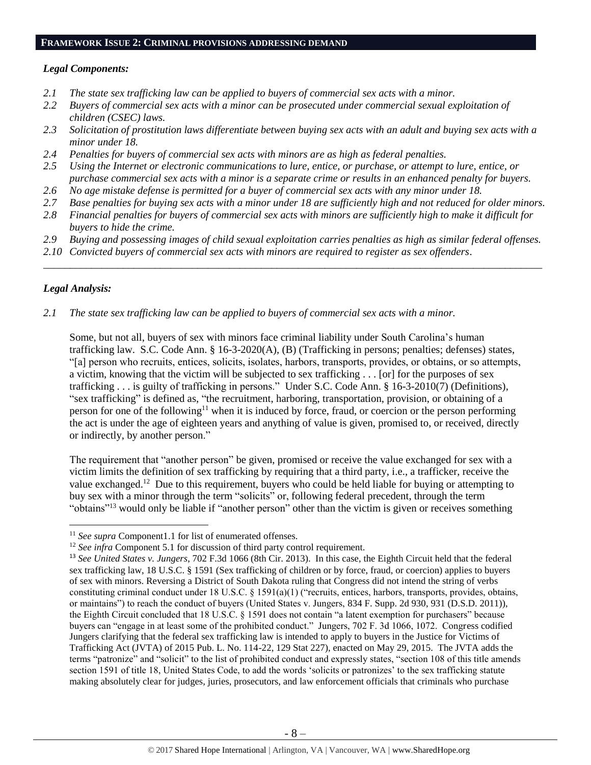# **FRAMEWORK ISSUE 2: CRIMINAL PROVISIONS ADDRESSING DEMAND**

### *Legal Components:*

- *2.1 The state sex trafficking law can be applied to buyers of commercial sex acts with a minor.*
- *2.2 Buyers of commercial sex acts with a minor can be prosecuted under commercial sexual exploitation of children (CSEC) laws.*
- *2.3 Solicitation of prostitution laws differentiate between buying sex acts with an adult and buying sex acts with a minor under 18.*
- *2.4 Penalties for buyers of commercial sex acts with minors are as high as federal penalties.*
- *2.5 Using the Internet or electronic communications to lure, entice, or purchase, or attempt to lure, entice, or purchase commercial sex acts with a minor is a separate crime or results in an enhanced penalty for buyers.*
- *2.6 No age mistake defense is permitted for a buyer of commercial sex acts with any minor under 18.*
- *2.7 Base penalties for buying sex acts with a minor under 18 are sufficiently high and not reduced for older minors.*
- *2.8 Financial penalties for buyers of commercial sex acts with minors are sufficiently high to make it difficult for buyers to hide the crime.*
- *2.9 Buying and possessing images of child sexual exploitation carries penalties as high as similar federal offenses.*

\_\_\_\_\_\_\_\_\_\_\_\_\_\_\_\_\_\_\_\_\_\_\_\_\_\_\_\_\_\_\_\_\_\_\_\_\_\_\_\_\_\_\_\_\_\_\_\_\_\_\_\_\_\_\_\_\_\_\_\_\_\_\_\_\_\_\_\_\_\_\_\_\_\_\_\_\_\_\_\_\_\_\_\_\_\_\_\_\_\_\_\_\_\_

*2.10 Convicted buyers of commercial sex acts with minors are required to register as sex offenders*.

## *Legal Analysis:*

 $\overline{a}$ 

*2.1 The state sex trafficking law can be applied to buyers of commercial sex acts with a minor.*

Some, but not all, buyers of sex with minors face criminal liability under South Carolina's human trafficking law. S.C. Code Ann. § 16-3-2020(A), (B) (Trafficking in persons; penalties; defenses) states, "[a] person who recruits, entices, solicits, isolates, harbors, transports, provides, or obtains, or so attempts, a victim, knowing that the victim will be subjected to sex trafficking . . . [or] for the purposes of sex trafficking . . . is guilty of trafficking in persons." Under S.C. Code Ann. § 16-3-2010(7) (Definitions), "sex trafficking" is defined as, "the recruitment, harboring, transportation, provision, or obtaining of a person for one of the following<sup>11</sup> when it is induced by force, fraud, or coercion or the person performing the act is under the age of eighteen years and anything of value is given, promised to, or received, directly or indirectly, by another person."

The requirement that "another person" be given, promised or receive the value exchanged for sex with a victim limits the definition of sex trafficking by requiring that a third party, i.e., a trafficker, receive the value exchanged.<sup>12</sup> Due to this requirement, buyers who could be held liable for buying or attempting to buy sex with a minor through the term "solicits" or, following federal precedent, through the term "obtains"<sup>13</sup> would only be liable if "another person" other than the victim is given or receives something

<sup>&</sup>lt;sup>11</sup> See supra Component1.1 for list of enumerated offenses.

<sup>&</sup>lt;sup>12</sup> *See infra* Component 5.1 for discussion of third party control requirement.

<sup>13</sup> *See United States v. Jungers*, 702 F.3d 1066 (8th Cir. 2013). In this case, the Eighth Circuit held that the federal sex trafficking law, 18 U.S.C. § 1591 (Sex trafficking of children or by force, fraud, or coercion) applies to buyers of sex with minors. Reversing a District of South Dakota ruling that Congress did not intend the string of verbs constituting criminal conduct under 18 U.S.C. § 1591(a)(1) ("recruits, entices, harbors, transports, provides, obtains, or maintains") to reach the conduct of buyers (United States v. Jungers, 834 F. Supp. 2d 930, 931 (D.S.D. 2011)), the Eighth Circuit concluded that 18 U.S.C. § 1591 does not contain "a latent exemption for purchasers" because buyers can "engage in at least some of the prohibited conduct." Jungers, 702 F. 3d 1066, 1072. Congress codified Jungers clarifying that the federal sex trafficking law is intended to apply to buyers in the Justice for Victims of Trafficking Act (JVTA) of 2015 Pub. L. No. 114-22, 129 Stat 227), enacted on May 29, 2015. The JVTA adds the terms "patronize" and "solicit" to the list of prohibited conduct and expressly states, "section 108 of this title amends section 1591 of title 18, United States Code, to add the words 'solicits or patronizes' to the sex trafficking statute making absolutely clear for judges, juries, prosecutors, and law enforcement officials that criminals who purchase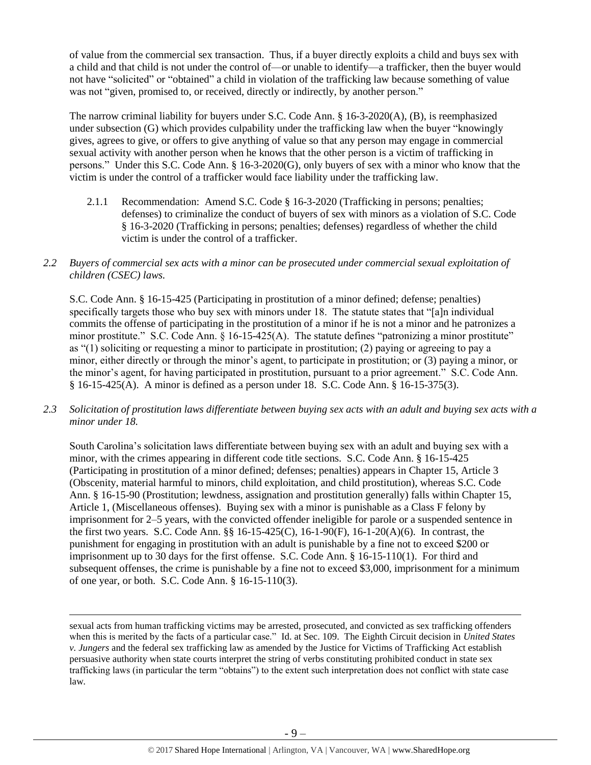of value from the commercial sex transaction. Thus, if a buyer directly exploits a child and buys sex with a child and that child is not under the control of—or unable to identify—a trafficker, then the buyer would not have "solicited" or "obtained" a child in violation of the trafficking law because something of value was not "given, promised to, or received, directly or indirectly, by another person."

The narrow criminal liability for buyers under S.C. Code Ann. § 16-3-2020(A), (B), is reemphasized under subsection (G) which provides culpability under the trafficking law when the buyer "knowingly gives, agrees to give, or offers to give anything of value so that any person may engage in commercial sexual activity with another person when he knows that the other person is a victim of trafficking in persons." Under this S.C. Code Ann. § 16-3-2020(G), only buyers of sex with a minor who know that the victim is under the control of a trafficker would face liability under the trafficking law.

- 2.1.1 Recommendation: Amend S.C. Code § 16-3-2020 (Trafficking in persons; penalties; defenses) to criminalize the conduct of buyers of sex with minors as a violation of S.C. Code § 16-3-2020 (Trafficking in persons; penalties; defenses) regardless of whether the child victim is under the control of a trafficker.
- *2.2 Buyers of commercial sex acts with a minor can be prosecuted under commercial sexual exploitation of children (CSEC) laws.*

S.C. Code Ann. § 16-15-425 (Participating in prostitution of a minor defined; defense; penalties) specifically targets those who buy sex with minors under 18. The statute states that "[a]n individual commits the offense of participating in the prostitution of a minor if he is not a minor and he patronizes a minor prostitute." S.C. Code Ann. § 16-15-425(A). The statute defines "patronizing a minor prostitute" as "(1) soliciting or requesting a minor to participate in prostitution; (2) paying or agreeing to pay a minor, either directly or through the minor's agent, to participate in prostitution; or (3) paying a minor, or the minor's agent, for having participated in prostitution, pursuant to a prior agreement." S.C. Code Ann. § 16-15-425(A). A minor is defined as a person under 18. S.C. Code Ann. § 16-15-375(3).

*2.3 Solicitation of prostitution laws differentiate between buying sex acts with an adult and buying sex acts with a minor under 18.*

South Carolina's solicitation laws differentiate between buying sex with an adult and buying sex with a minor, with the crimes appearing in different code title sections. S.C. Code Ann. § 16-15-425 (Participating in prostitution of a minor defined; defenses; penalties) appears in Chapter 15, Article 3 (Obscenity, material harmful to minors, child exploitation, and child prostitution), whereas S.C. Code Ann. § 16-15-90 (Prostitution; lewdness, assignation and prostitution generally) falls within Chapter 15, Article 1, (Miscellaneous offenses). Buying sex with a minor is punishable as a Class F felony by imprisonment for 2–5 years, with the convicted offender ineligible for parole or a suspended sentence in the first two years. S.C. Code Ann. §§ 16-15-425(C), 16-1-90(F), 16-1-20(A)(6). In contrast, the punishment for engaging in prostitution with an adult is punishable by a fine not to exceed \$200 or imprisonment up to 30 days for the first offense. S.C. Code Ann. § 16-15-110(1). For third and subsequent offenses, the crime is punishable by a fine not to exceed \$3,000, imprisonment for a minimum of one year, or both. S.C. Code Ann. § 16-15-110(3).

 $\overline{\phantom{a}}$ 

sexual acts from human trafficking victims may be arrested, prosecuted, and convicted as sex trafficking offenders when this is merited by the facts of a particular case." Id. at Sec. 109. The Eighth Circuit decision in *United States v. Jungers* and the federal sex trafficking law as amended by the Justice for Victims of Trafficking Act establish persuasive authority when state courts interpret the string of verbs constituting prohibited conduct in state sex trafficking laws (in particular the term "obtains") to the extent such interpretation does not conflict with state case law.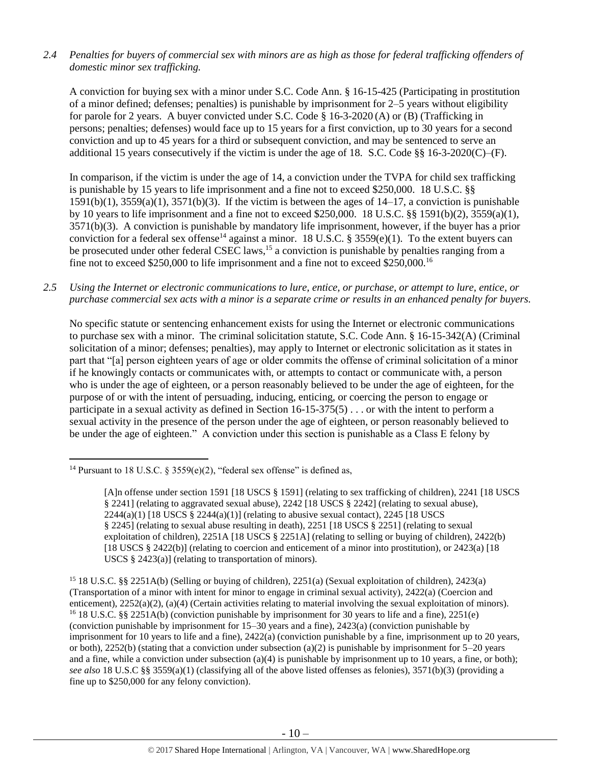*2.4 Penalties for buyers of commercial sex with minors are as high as those for federal trafficking offenders of domestic minor sex trafficking.*

A conviction for buying sex with a minor under S.C. Code Ann. § 16-15-425 (Participating in prostitution of a minor defined; defenses; penalties) is punishable by imprisonment for 2–5 years without eligibility for parole for 2 years. A buyer convicted under S.C. Code § 16-3-2020 (A) or (B) (Trafficking in persons; penalties; defenses) would face up to 15 years for a first conviction, up to 30 years for a second conviction and up to 45 years for a third or subsequent conviction, and may be sentenced to serve an additional 15 years consecutively if the victim is under the age of 18. S.C. Code §§ 16-3-2020(C)–(F).

<span id="page-9-0"></span>In comparison, if the victim is under the age of 14, a conviction under the TVPA for child sex trafficking is punishable by 15 years to life imprisonment and a fine not to exceed \$250,000. 18 U.S.C. §§  $1591(b)(1)$ ,  $3559(a)(1)$ ,  $3571(b)(3)$ . If the victim is between the ages of  $14-17$ , a conviction is punishable by 10 years to life imprisonment and a fine not to exceed \$250,000. 18 U.S.C. §§ 1591(b)(2), 3559(a)(1), 3571(b)(3). A conviction is punishable by mandatory life imprisonment, however, if the buyer has a prior conviction for a federal sex offense<sup>14</sup> against a minor. 18 U.S.C. § 3559(e)(1). To the extent buyers can be prosecuted under other federal CSEC laws,<sup>15</sup> a conviction is punishable by penalties ranging from a fine not to exceed \$250,000 to life imprisonment and a fine not to exceed \$250,000.<sup>16</sup>

*2.5 Using the Internet or electronic communications to lure, entice, or purchase, or attempt to lure, entice, or purchase commercial sex acts with a minor is a separate crime or results in an enhanced penalty for buyers.*

No specific statute or sentencing enhancement exists for using the Internet or electronic communications to purchase sex with a minor. The criminal solicitation statute, S.C. Code Ann. § 16-15-342(A) (Criminal solicitation of a minor; defenses; penalties), may apply to Internet or electronic solicitation as it states in part that "[a] person eighteen years of age or older commits the offense of criminal solicitation of a minor if he knowingly contacts or communicates with, or attempts to contact or communicate with, a person who is under the age of eighteen, or a person reasonably believed to be under the age of eighteen, for the purpose of or with the intent of persuading, inducing, enticing, or coercing the person to engage or participate in a sexual activity as defined in Section 16-15-375(5) . . . or with the intent to perform a sexual activity in the presence of the person under the age of eighteen, or person reasonably believed to be under the age of eighteen." A conviction under this section is punishable as a Class E felony by

 $\overline{a}$ <sup>14</sup> Pursuant to 18 U.S.C. § 3559(e)(2), "federal sex offense" is defined as,

<sup>[</sup>A]n offense under section 1591 [18 USCS § 1591] (relating to sex trafficking of children), 2241 [18 USCS § 2241] (relating to aggravated sexual abuse), 2242 [18 USCS § 2242] (relating to sexual abuse),  $2244(a)(1)$  [18 USCS §  $2244(a)(1)$ ] (relating to abusive sexual contact), 2245 [18 USCS § 2245] (relating to sexual abuse resulting in death), 2251 [18 USCS § 2251] (relating to sexual exploitation of children), 2251A [18 USCS § 2251A] (relating to selling or buying of children), 2422(b) [18 USCS § 2422(b)] (relating to coercion and enticement of a minor into prostitution), or 2423(a) [18 USCS § 2423(a)] (relating to transportation of minors).

<sup>15</sup> 18 U.S.C. §§ 2251A(b) (Selling or buying of children), 2251(a) (Sexual exploitation of children), 2423(a) (Transportation of a minor with intent for minor to engage in criminal sexual activity), 2422(a) (Coercion and enticement), 2252(a)(2), (a)(4) (Certain activities relating to material involving the sexual exploitation of minors). <sup>16</sup> 18 U.S.C. §§ 2251A(b) (conviction punishable by imprisonment for 30 years to life and a fine), 2251(e) (conviction punishable by imprisonment for 15–30 years and a fine), 2423(a) (conviction punishable by imprisonment for 10 years to life and a fine), 2422(a) (conviction punishable by a fine, imprisonment up to 20 years, or both), 2252(b) (stating that a conviction under subsection (a)(2) is punishable by imprisonment for  $5-20$  years and a fine, while a conviction under subsection  $(a)(4)$  is punishable by imprisonment up to 10 years, a fine, or both); *see also* 18 U.S.C §§ 3559(a)(1) (classifying all of the above listed offenses as felonies), 3571(b)(3) (providing a fine up to \$250,000 for any felony conviction).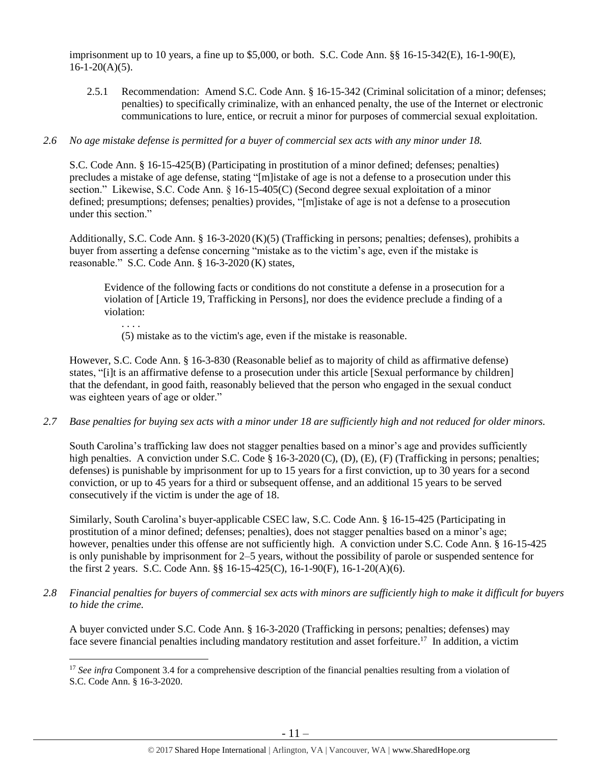imprisonment up to 10 years, a fine up to \$5,000, or both. S.C. Code Ann. §§ 16-15-342(E), 16-1-90(E),  $16-1-20(A)(5)$ .

2.5.1 Recommendation: Amend S.C. Code Ann. § 16-15-342 (Criminal solicitation of a minor; defenses; penalties) to specifically criminalize, with an enhanced penalty, the use of the Internet or electronic communications to lure, entice, or recruit a minor for purposes of commercial sexual exploitation.

# *2.6 No age mistake defense is permitted for a buyer of commercial sex acts with any minor under 18.*

S.C. Code Ann. § 16-15-425(B) (Participating in prostitution of a minor defined; defenses; penalties) precludes a mistake of age defense, stating "[m]istake of age is not a defense to a prosecution under this section." Likewise, S.C. Code Ann. § 16-15-405(C) (Second degree sexual exploitation of a minor defined; presumptions; defenses; penalties) provides, "[m]istake of age is not a defense to a prosecution under this section."

Additionally, S.C. Code Ann. § 16-3-2020 (K)(5) (Trafficking in persons; penalties; defenses), prohibits a buyer from asserting a defense concerning "mistake as to the victim's age, even if the mistake is reasonable." S.C. Code Ann. § 16-3-2020 (K) states,

Evidence of the following facts or conditions do not constitute a defense in a prosecution for a violation of [Article 19, Trafficking in Persons], nor does the evidence preclude a finding of a violation:

. . . .

 $\overline{a}$ 

(5) mistake as to the victim's age, even if the mistake is reasonable.

However, S.C. Code Ann. § 16-3-830 (Reasonable belief as to majority of child as affirmative defense) states, "[i]t is an affirmative defense to a prosecution under this article [Sexual performance by children] that the defendant, in good faith, reasonably believed that the person who engaged in the sexual conduct was eighteen years of age or older."

*2.7 Base penalties for buying sex acts with a minor under 18 are sufficiently high and not reduced for older minors.*

South Carolina's trafficking law does not stagger penalties based on a minor's age and provides sufficiently high penalties. A conviction under S.C. Code § 16-3-2020 (C), (D), (E), (F) (Trafficking in persons; penalties; defenses) is punishable by imprisonment for up to 15 years for a first conviction, up to 30 years for a second conviction, or up to 45 years for a third or subsequent offense, and an additional 15 years to be served consecutively if the victim is under the age of 18.

Similarly, South Carolina's buyer-applicable CSEC law, S.C. Code Ann. § 16-15-425 (Participating in prostitution of a minor defined; defenses; penalties), does not stagger penalties based on a minor's age; however, penalties under this offense are not sufficiently high. A conviction under S.C. Code Ann. § 16-15-425 is only punishable by imprisonment for 2–5 years, without the possibility of parole or suspended sentence for the first 2 years. S.C. Code Ann. §§ 16-15-425(C), 16-1-90(F), 16-1-20(A)(6).

*2.8 Financial penalties for buyers of commercial sex acts with minors are sufficiently high to make it difficult for buyers to hide the crime.*

A buyer convicted under S.C. Code Ann. § 16-3-2020 (Trafficking in persons; penalties; defenses) may face severe financial penalties including mandatory restitution and asset forfeiture.<sup>17</sup> In addition, a victim

<sup>&</sup>lt;sup>17</sup> *See infra* Component 3.4 for a comprehensive description of the financial penalties resulting from a violation of S.C. Code Ann. § 16-3-2020.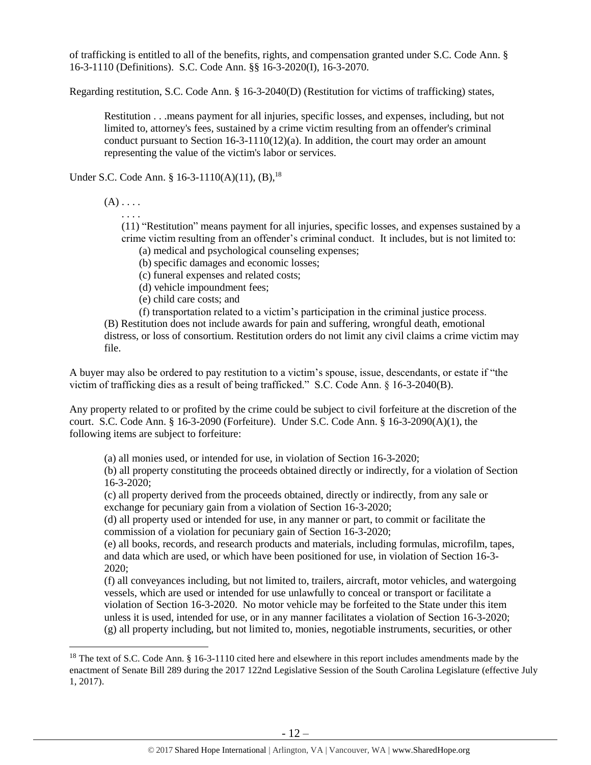of trafficking is entitled to all of the benefits, rights, and compensation granted under S.C. Code Ann. § 16-3-1110 (Definitions). S.C. Code Ann. §§ 16-3-2020(I), 16-3-2070.

Regarding restitution, S.C. Code Ann. § 16-3-2040(D) (Restitution for victims of trafficking) states,

Restitution . . .means payment for all injuries, specific losses, and expenses, including, but not limited to, attorney's fees, sustained by a crime victim resulting from an offender's criminal conduct pursuant to Section  $16-3-1110(12)(a)$ . In addition, the court may order an amount representing the value of the victim's labor or services.

Under S.C. Code Ann. § 16-3-1110(A)(11),  $(B)$ , <sup>18</sup>

 $(A) \ldots$ 

 $\overline{\phantom{a}}$ 

. . . .

(11) "Restitution" means payment for all injuries, specific losses, and expenses sustained by a crime victim resulting from an offender's criminal conduct. It includes, but is not limited to:

- <span id="page-11-0"></span>(a) medical and psychological counseling expenses;
- (b) specific damages and economic losses;
- (c) funeral expenses and related costs;
- (d) vehicle impoundment fees;
- (e) child care costs; and

(f) transportation related to a victim's participation in the criminal justice process.

(B) Restitution does not include awards for pain and suffering, wrongful death, emotional distress, or loss of consortium. Restitution orders do not limit any civil claims a crime victim may file.

A buyer may also be ordered to pay restitution to a victim's spouse, issue, descendants, or estate if "the victim of trafficking dies as a result of being trafficked." S.C. Code Ann. § 16-3-2040(B).

Any property related to or profited by the crime could be subject to civil forfeiture at the discretion of the court. S.C. Code Ann. § 16-3-2090 (Forfeiture). Under S.C. Code Ann. § 16-3-2090(A)(1), the following items are subject to forfeiture:

(a) all monies used, or intended for use, in violation of Section 16-3-2020;

(b) all property constituting the proceeds obtained directly or indirectly, for a violation of Section 16-3-2020;

(c) all property derived from the proceeds obtained, directly or indirectly, from any sale or exchange for pecuniary gain from a violation of Section 16-3-2020;

(d) all property used or intended for use, in any manner or part, to commit or facilitate the commission of a violation for pecuniary gain of Section 16-3-2020;

(e) all books, records, and research products and materials, including formulas, microfilm, tapes, and data which are used, or which have been positioned for use, in violation of Section 16-3- 2020;

(f) all conveyances including, but not limited to, trailers, aircraft, motor vehicles, and watergoing vessels, which are used or intended for use unlawfully to conceal or transport or facilitate a violation of Section 16-3-2020. No motor vehicle may be forfeited to the State under this item unless it is used, intended for use, or in any manner facilitates a violation of Section 16-3-2020; (g) all property including, but not limited to, monies, negotiable instruments, securities, or other

<sup>&</sup>lt;sup>18</sup> The text of S.C. Code Ann. § 16-3-1110 cited here and elsewhere in this report includes amendments made by the enactment of Senate Bill 289 during the 2017 122nd Legislative Session of the South Carolina Legislature (effective July 1, 2017).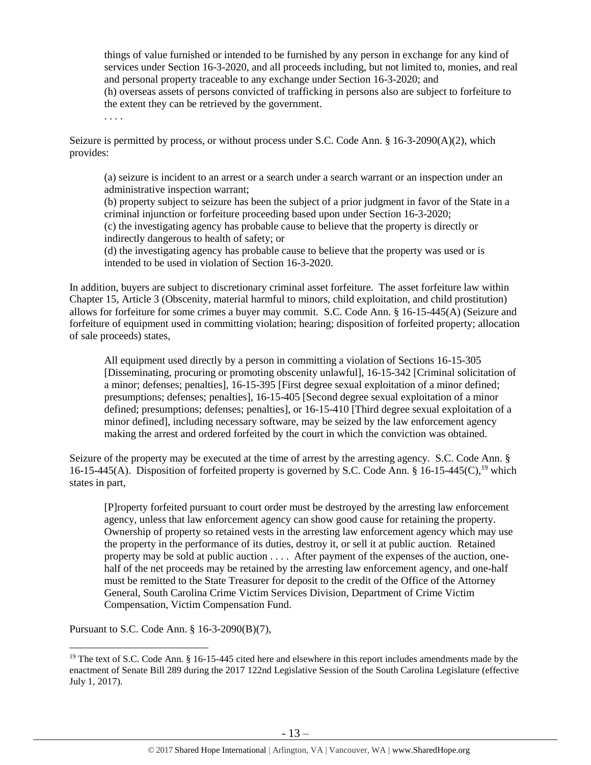things of value furnished or intended to be furnished by any person in exchange for any kind of services under Section 16-3-2020, and all proceeds including, but not limited to, monies, and real and personal property traceable to any exchange under Section 16-3-2020; and (h) overseas assets of persons convicted of trafficking in persons also are subject to forfeiture to the extent they can be retrieved by the government.

Seizure is permitted by process, or without process under S.C. Code Ann. § 16-3-2090(A)(2), which provides:

(a) seizure is incident to an arrest or a search under a search warrant or an inspection under an administrative inspection warrant;

(b) property subject to seizure has been the subject of a prior judgment in favor of the State in a criminal injunction or forfeiture proceeding based upon under Section 16-3-2020;

(c) the investigating agency has probable cause to believe that the property is directly or indirectly dangerous to health of safety; or

(d) the investigating agency has probable cause to believe that the property was used or is intended to be used in violation of Section 16-3-2020.

In addition, buyers are subject to discretionary criminal asset forfeiture. The asset forfeiture law within Chapter 15, Article 3 (Obscenity, material harmful to minors, child exploitation, and child prostitution) allows for forfeiture for some crimes a buyer may commit. S.C. Code Ann. § 16-15-445(A) (Seizure and forfeiture of equipment used in committing violation; hearing; disposition of forfeited property; allocation of sale proceeds) states,

All equipment used directly by a person in committing a violation of Sections 16-15-305 [Disseminating, procuring or promoting obscenity unlawful], 16-15-342 [Criminal solicitation of a minor; defenses; penalties], 16-15-395 [First degree sexual exploitation of a minor defined; presumptions; defenses; penalties], 16-15-405 [Second degree sexual exploitation of a minor defined; presumptions; defenses; penalties], or 16-15-410 [Third degree sexual exploitation of a minor defined], including necessary software, may be seized by the law enforcement agency making the arrest and ordered forfeited by the court in which the conviction was obtained.

Seizure of the property may be executed at the time of arrest by the arresting agency. S.C. Code Ann. § 16-15-445(A). Disposition of forfeited property is governed by S.C. Code Ann. § 16-15-445(C),<sup>19</sup> which states in part,

[P]roperty forfeited pursuant to court order must be destroyed by the arresting law enforcement agency, unless that law enforcement agency can show good cause for retaining the property. Ownership of property so retained vests in the arresting law enforcement agency which may use the property in the performance of its duties, destroy it, or sell it at public auction. Retained property may be sold at public auction . . . . After payment of the expenses of the auction, onehalf of the net proceeds may be retained by the arresting law enforcement agency, and one-half must be remitted to the State Treasurer for deposit to the credit of the Office of the Attorney General, South Carolina Crime Victim Services Division, Department of Crime Victim Compensation, Victim Compensation Fund.

Pursuant to S.C. Code Ann. § 16-3-2090(B)(7),

 $\overline{\phantom{a}}$ 

. . . .

<sup>&</sup>lt;sup>19</sup> The text of S.C. Code Ann. § 16-15-445 cited here and elsewhere in this report includes amendments made by the enactment of Senate Bill 289 during the 2017 122nd Legislative Session of the South Carolina Legislature (effective July 1, 2017).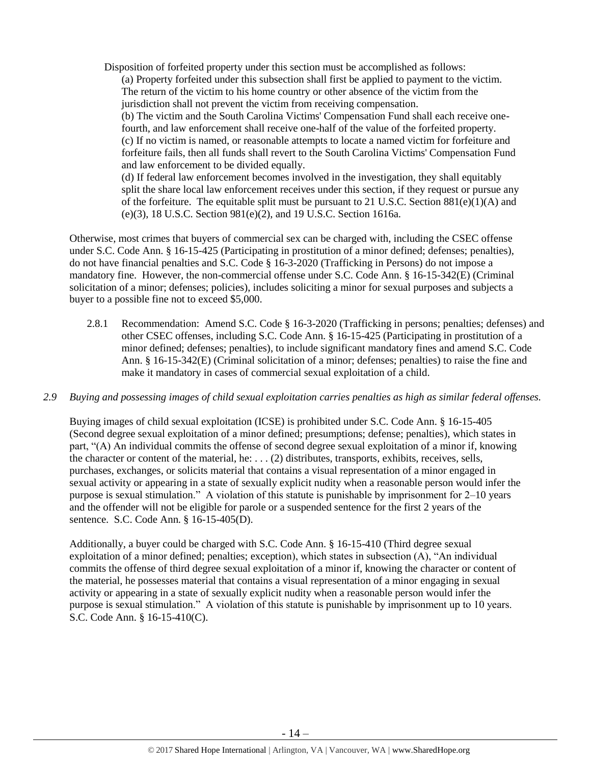Disposition of forfeited property under this section must be accomplished as follows: (a) Property forfeited under this subsection shall first be applied to payment to the victim. The return of the victim to his home country or other absence of the victim from the

jurisdiction shall not prevent the victim from receiving compensation.

(b) The victim and the South Carolina Victims' Compensation Fund shall each receive onefourth, and law enforcement shall receive one-half of the value of the forfeited property. (c) If no victim is named, or reasonable attempts to locate a named victim for forfeiture and forfeiture fails, then all funds shall revert to the South Carolina Victims' Compensation Fund and law enforcement to be divided equally.

(d) If federal law enforcement becomes involved in the investigation, they shall equitably split the share local law enforcement receives under this section, if they request or pursue any of the forfeiture. The equitable split must be pursuant to 21 U.S.C. Section  $881(e)(1)(A)$  and (e)(3), 18 U.S.C. Section 981(e)(2), and 19 U.S.C. Section 1616a.

Otherwise, most crimes that buyers of commercial sex can be charged with, including the CSEC offense under S.C. Code Ann. § 16-15-425 (Participating in prostitution of a minor defined; defenses; penalties), do not have financial penalties and S.C. Code § 16-3-2020 (Trafficking in Persons) do not impose a mandatory fine. However, the non-commercial offense under S.C. Code Ann. § 16-15-342(E) (Criminal solicitation of a minor; defenses; policies), includes soliciting a minor for sexual purposes and subjects a buyer to a possible fine not to exceed \$5,000.

- 2.8.1 Recommendation: Amend S.C. Code § 16-3-2020 (Trafficking in persons; penalties; defenses) and other CSEC offenses, including S.C. Code Ann. § 16-15-425 (Participating in prostitution of a minor defined; defenses; penalties), to include significant mandatory fines and amend S.C. Code Ann. § 16-15-342(E) (Criminal solicitation of a minor; defenses; penalties) to raise the fine and make it mandatory in cases of commercial sexual exploitation of a child.
- *2.9 Buying and possessing images of child sexual exploitation carries penalties as high as similar federal offenses.*

Buying images of child sexual exploitation (ICSE) is prohibited under S.C. Code Ann. § 16-15-405 (Second degree sexual exploitation of a minor defined; presumptions; defense; penalties), which states in part, "(A) An individual commits the offense of second degree sexual exploitation of a minor if, knowing the character or content of the material, he: . . . (2) distributes, transports, exhibits, receives, sells, purchases, exchanges, or solicits material that contains a visual representation of a minor engaged in sexual activity or appearing in a state of sexually explicit nudity when a reasonable person would infer the purpose is sexual stimulation." A violation of this statute is punishable by imprisonment for 2–10 years and the offender will not be eligible for parole or a suspended sentence for the first 2 years of the sentence. S.C. Code Ann. § 16-15-405(D).

Additionally, a buyer could be charged with S.C. Code Ann. § 16-15-410 (Third degree sexual exploitation of a minor defined; penalties; exception), which states in subsection (A), "An individual commits the offense of third degree sexual exploitation of a minor if, knowing the character or content of the material, he possesses material that contains a visual representation of a minor engaging in sexual activity or appearing in a state of sexually explicit nudity when a reasonable person would infer the purpose is sexual stimulation." A violation of this statute is punishable by imprisonment up to 10 years. S.C. Code Ann. § 16-15-410(C).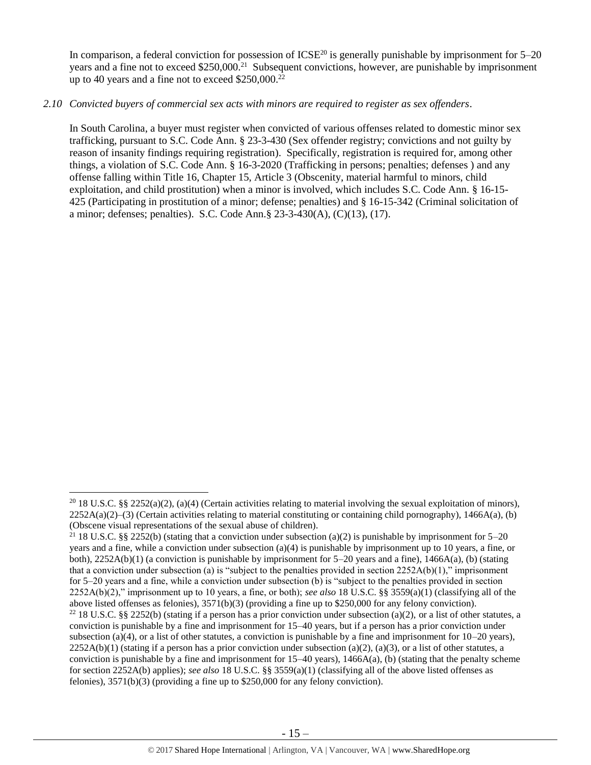In comparison, a federal conviction for possession of  $ICSE^{20}$  is generally punishable by imprisonment for  $5-20$ years and a fine not to exceed \$250,000.<sup>21</sup> Subsequent convictions, however, are punishable by imprisonment up to 40 years and a fine not to exceed \$250,000.<sup>22</sup>

# *2.10 Convicted buyers of commercial sex acts with minors are required to register as sex offenders*.

In South Carolina, a buyer must register when convicted of various offenses related to domestic minor sex trafficking, pursuant to S.C. Code Ann. § 23-3-430 (Sex offender registry; convictions and not guilty by reason of insanity findings requiring registration). Specifically, registration is required for, among other things, a violation of S.C. Code Ann. § 16-3-2020 (Trafficking in persons; penalties; defenses ) and any offense falling within Title 16, Chapter 15, Article 3 (Obscenity, material harmful to minors, child exploitation, and child prostitution) when a minor is involved, which includes S.C. Code Ann. § 16-15- 425 (Participating in prostitution of a minor; defense; penalties) and § 16-15-342 (Criminal solicitation of a minor; defenses; penalties). S.C. Code Ann.§ 23-3-430(A), (C)(13), (17).

l

<sup>&</sup>lt;sup>20</sup> 18 U.S.C. §§ 2252(a)(2), (a)(4) (Certain activities relating to material involving the sexual exploitation of minors),  $2252A(a)(2)$ –(3) (Certain activities relating to material constituting or containing child pornography), 1466A(a), (b) (Obscene visual representations of the sexual abuse of children).

<sup>&</sup>lt;sup>21</sup> 18 U.S.C. §§ 2252(b) (stating that a conviction under subsection (a)(2) is punishable by imprisonment for 5–20 years and a fine, while a conviction under subsection (a)(4) is punishable by imprisonment up to 10 years, a fine, or both),  $2252A(b)(1)$  (a conviction is punishable by imprisonment for  $5-20$  years and a fine),  $1466A(a)$ , (b) (stating that a conviction under subsection (a) is "subject to the penalties provided in section  $2252A(b)(1)$ ," imprisonment for 5–20 years and a fine, while a conviction under subsection (b) is "subject to the penalties provided in section 2252A(b)(2)," imprisonment up to 10 years, a fine, or both); *see also* 18 U.S.C. §§ 3559(a)(1) (classifying all of the above listed offenses as felonies), 3571(b)(3) (providing a fine up to \$250,000 for any felony conviction). <sup>22</sup> 18 U.S.C. §§ 2252(b) (stating if a person has a prior conviction under subsection (a)(2), or a list of other statutes, a conviction is punishable by a fine and imprisonment for 15–40 years, but if a person has a prior conviction under subsection (a)(4), or a list of other statutes, a conviction is punishable by a fine and imprisonment for  $10-20$  years),  $2252A(b)(1)$  (stating if a person has a prior conviction under subsection (a)(2), (a)(3), or a list of other statutes, a conviction is punishable by a fine and imprisonment for 15–40 years), 1466A(a), (b) (stating that the penalty scheme for section 2252A(b) applies); *see also* 18 U.S.C. §§ 3559(a)(1) (classifying all of the above listed offenses as

felonies), 3571(b)(3) (providing a fine up to \$250,000 for any felony conviction).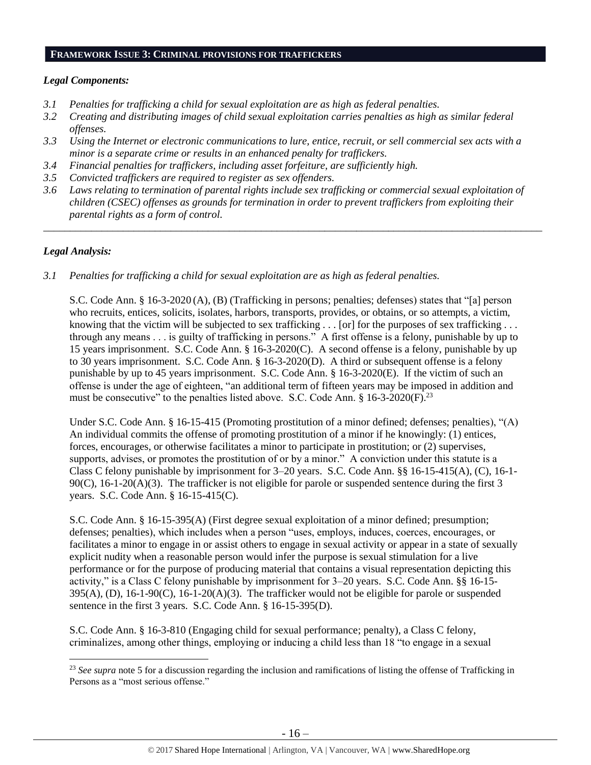#### **FRAMEWORK ISSUE 3: CRIMINAL PROVISIONS FOR TRAFFICKERS**

### *Legal Components:*

- *3.1 Penalties for trafficking a child for sexual exploitation are as high as federal penalties.*
- *3.2 Creating and distributing images of child sexual exploitation carries penalties as high as similar federal offenses.*
- *3.3 Using the Internet or electronic communications to lure, entice, recruit, or sell commercial sex acts with a minor is a separate crime or results in an enhanced penalty for traffickers.*
- *3.4 Financial penalties for traffickers, including asset forfeiture, are sufficiently high.*
- *3.5 Convicted traffickers are required to register as sex offenders.*
- *3.6 Laws relating to termination of parental rights include sex trafficking or commercial sexual exploitation of children (CSEC) offenses as grounds for termination in order to prevent traffickers from exploiting their parental rights as a form of control.*

*\_\_\_\_\_\_\_\_\_\_\_\_\_\_\_\_\_\_\_\_\_\_\_\_\_\_\_\_\_\_\_\_\_\_\_\_\_\_\_\_\_\_\_\_\_\_\_\_\_\_\_\_\_\_\_\_\_\_\_\_\_\_\_\_\_\_\_\_\_\_\_\_\_\_\_\_\_\_\_\_\_\_\_\_\_\_\_\_\_\_\_\_\_\_*

## *Legal Analysis:*

 $\overline{a}$ 

*3.1 Penalties for trafficking a child for sexual exploitation are as high as federal penalties.* 

S.C. Code Ann. § 16-3-2020 (A), (B) (Trafficking in persons; penalties; defenses) states that "[a] person who recruits, entices, solicits, isolates, harbors, transports, provides, or obtains, or so attempts, a victim, knowing that the victim will be subjected to sex trafficking  $\dots$  [or] for the purposes of sex trafficking  $\dots$ through any means . . . is guilty of trafficking in persons." A first offense is a felony, punishable by up to 15 years imprisonment. S.C. Code Ann. § 16-3-2020(C). A second offense is a felony, punishable by up to 30 years imprisonment. S.C. Code Ann. § 16-3-2020(D). A third or subsequent offense is a felony punishable by up to 45 years imprisonment. S.C. Code Ann. § 16-3-2020(E). If the victim of such an offense is under the age of eighteen, "an additional term of fifteen years may be imposed in addition and must be consecutive" to the penalties listed above. S.C. Code Ann. § 16-3-2020(F).<sup>23</sup>

Under S.C. Code Ann. § 16-15-415 (Promoting prostitution of a minor defined; defenses; penalties), "(A) An individual commits the offense of promoting prostitution of a minor if he knowingly: (1) entices, forces, encourages, or otherwise facilitates a minor to participate in prostitution; or (2) supervises, supports, advises, or promotes the prostitution of or by a minor." A conviction under this statute is a Class C felony punishable by imprisonment for 3–20 years. S.C. Code Ann. §§ 16-15-415(A), (C), 16-1- 90(C), 16-1-20(A)(3). The trafficker is not eligible for parole or suspended sentence during the first 3 years. S.C. Code Ann. § 16-15-415(C).

S.C. Code Ann. § 16-15-395(A) (First degree sexual exploitation of a minor defined; presumption; defenses; penalties), which includes when a person "uses, employs, induces, coerces, encourages, or facilitates a minor to engage in or assist others to engage in sexual activity or appear in a state of sexually explicit nudity when a reasonable person would infer the purpose is sexual stimulation for a live performance or for the purpose of producing material that contains a visual representation depicting this activity," is a Class C felony punishable by imprisonment for 3–20 years. S.C. Code Ann. §§ 16-15-  $395(A)$ , (D), 16-1-90(C), 16-1-20(A)(3). The trafficker would not be eligible for parole or suspended sentence in the first 3 years. S.C. Code Ann. § 16-15-395(D).

S.C. Code Ann. § 16-3-810 (Engaging child for sexual performance; penalty), a Class C felony, criminalizes, among other things, employing or inducing a child less than 18 "to engage in a sexual

<sup>&</sup>lt;sup>23</sup> See supra note [5](#page-2-0) for a discussion regarding the inclusion and ramifications of listing the offense of Trafficking in Persons as a "most serious offense."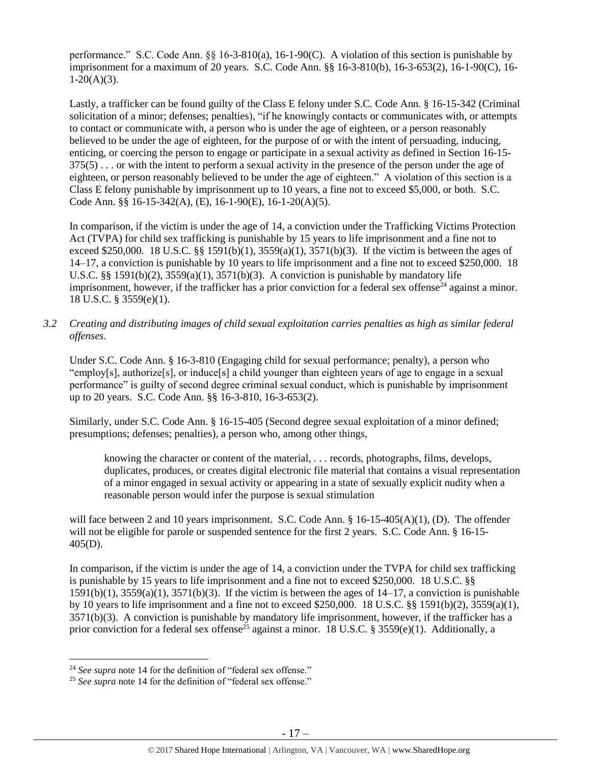performance." S.C. Code Ann. §§ 16-3-810(a), 16-1-90(C). A violation of this section is punishable by imprisonment for a maximum of 20 years. S.C. Code Ann. §§ 16-3-810(b), 16-3-653(2), 16-1-90(C), 16- 1-20(A)(3).

Lastly, a trafficker can be found guilty of the Class E felony under S.C. Code Ann. § 16-15-342 (Criminal solicitation of a minor; defenses; penalties), "if he knowingly contacts or communicates with, or attempts to contact or communicate with, a person who is under the age of eighteen, or a person reasonably believed to be under the age of eighteen, for the purpose of or with the intent of persuading, inducing, enticing, or coercing the person to engage or participate in a sexual activity as defined in Section 16-15- 375(5) . . . or with the intent to perform a sexual activity in the presence of the person under the age of eighteen, or person reasonably believed to be under the age of eighteen." A violation of this section is a Class E felony punishable by imprisonment up to 10 years, a fine not to exceed \$5,000, or both. S.C. Code Ann. §§ 16-15-342(A), (E), 16-1-90(E), 16-1-20(A)(5).

In comparison, if the victim is under the age of 14, a conviction under the Trafficking Victims Protection Act (TVPA) for child sex trafficking is punishable by 15 years to life imprisonment and a fine not to exceed \$250,000. 18 U.S.C. §§ 1591(b)(1),  $3559(a)(1)$ ,  $3571(b)(3)$ . If the victim is between the ages of 14–17, a conviction is punishable by 10 years to life imprisonment and a fine not to exceed \$250,000. 18 U.S.C. §§ 1591(b)(2),  $3559(a)(1)$ ,  $3571(b)(3)$ . A conviction is punishable by mandatory life imprisonment, however, if the trafficker has a prior conviction for a federal sex offense<sup>24</sup> against a minor. 18 U.S.C. § 3559(e)(1).

*3.2 Creating and distributing images of child sexual exploitation carries penalties as high as similar federal offenses*.

Under S.C. Code Ann. § 16-3-810 (Engaging child for sexual performance; penalty), a person who "employ[s], authorize[s], or induce[s] a child younger than eighteen years of age to engage in a sexual performance" is guilty of second degree criminal sexual conduct, which is punishable by imprisonment up to 20 years. S.C. Code Ann. §§ 16-3-810, 16-3-653(2).

Similarly, under S.C. Code Ann. § 16-15-405 (Second degree sexual exploitation of a minor defined; presumptions; defenses; penalties), a person who, among other things,

knowing the character or content of the material, . . . records, photographs, films, develops, duplicates, produces, or creates digital electronic file material that contains a visual representation of a minor engaged in sexual activity or appearing in a state of sexually explicit nudity when a reasonable person would infer the purpose is sexual stimulation

will face between 2 and 10 years imprisonment. S.C. Code Ann. § 16-15-405(A)(1), (D). The offender will not be eligible for parole or suspended sentence for the first 2 years. S.C. Code Ann. § 16-15-405(D).

In comparison, if the victim is under the age of 14, a conviction under the TVPA for child sex trafficking is punishable by 15 years to life imprisonment and a fine not to exceed \$250,000. 18 U.S.C. §§  $1591(b)(1)$ ,  $3559(a)(1)$ ,  $3571(b)(3)$ . If the victim is between the ages of  $14-17$ , a conviction is punishable by 10 years to life imprisonment and a fine not to exceed \$250,000. 18 U.S.C. §§ 1591(b)(2), 3559(a)(1), 3571(b)(3). A conviction is punishable by mandatory life imprisonment, however, if the trafficker has a prior conviction for a federal sex offense<sup>25</sup> against a minor. 18 U.S.C. § 3559(e)(1). Additionally, a

 $\overline{a}$ 

<sup>&</sup>lt;sup>24</sup> See supra note [14](#page-9-0) for the definition of "federal sex offense."

<sup>&</sup>lt;sup>25</sup> See supra note [14](#page-9-0) for the definition of "federal sex offense."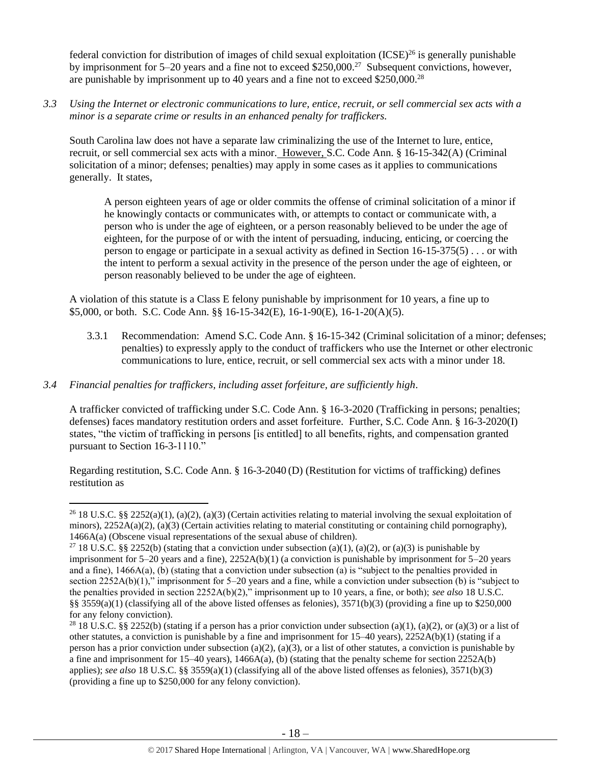federal conviction for distribution of images of child sexual exploitation  $(ICSE)^{26}$  is generally punishable by imprisonment for 5–20 years and a fine not to exceed \$250,000.<sup>27</sup> Subsequent convictions, however, are punishable by imprisonment up to 40 years and a fine not to exceed \$250,000.<sup>28</sup>

*3.3 Using the Internet or electronic communications to lure, entice, recruit, or sell commercial sex acts with a minor is a separate crime or results in an enhanced penalty for traffickers.* 

South Carolina law does not have a separate law criminalizing the use of the Internet to lure, entice, recruit, or sell commercial sex acts with a minor. However, S.C. Code Ann. § 16-15-342(A) (Criminal solicitation of a minor; defenses; penalties) may apply in some cases as it applies to communications generally. It states,

A person eighteen years of age or older commits the offense of criminal solicitation of a minor if he knowingly contacts or communicates with, or attempts to contact or communicate with, a person who is under the age of eighteen, or a person reasonably believed to be under the age of eighteen, for the purpose of or with the intent of persuading, inducing, enticing, or coercing the person to engage or participate in a sexual activity as defined in Section 16-15-375(5) . . . or with the intent to perform a sexual activity in the presence of the person under the age of eighteen, or person reasonably believed to be under the age of eighteen.

A violation of this statute is a Class E felony punishable by imprisonment for 10 years, a fine up to \$5,000, or both. S.C. Code Ann. §§ 16-15-342(E), 16-1-90(E), 16-1-20(A)(5).

3.3.1 Recommendation: Amend S.C. Code Ann. § 16-15-342 (Criminal solicitation of a minor; defenses; penalties) to expressly apply to the conduct of traffickers who use the Internet or other electronic communications to lure, entice, recruit, or sell commercial sex acts with a minor under 18.

# *3.4 Financial penalties for traffickers, including asset forfeiture, are sufficiently high*.

 $\overline{\phantom{a}}$ 

A trafficker convicted of trafficking under S.C. Code Ann. § 16-3-2020 (Trafficking in persons; penalties; defenses) faces mandatory restitution orders and asset forfeiture. Further, S.C. Code Ann. § 16-3-2020(I) states, "the victim of trafficking in persons [is entitled] to all benefits, rights, and compensation granted pursuant to Section 16-3-1110."

Regarding restitution, S.C. Code Ann. § 16-3-2040 (D) (Restitution for victims of trafficking) defines restitution as

<sup>&</sup>lt;sup>26</sup> 18 U.S.C. §§ 2252(a)(1), (a)(2), (a)(3) (Certain activities relating to material involving the sexual exploitation of minors),  $2252A(a)(2)$ ,  $(a)(3)$  (Certain activities relating to material constituting or containing child pornography), 1466A(a) (Obscene visual representations of the sexual abuse of children).

<sup>&</sup>lt;sup>27</sup> 18 U.S.C. §§ 2252(b) (stating that a conviction under subsection (a)(1), (a)(2), or (a)(3) is punishable by imprisonment for  $5-20$  years and a fine),  $2252A(b)(1)$  (a conviction is punishable by imprisonment for  $5-20$  years and a fine), 1466A(a), (b) (stating that a conviction under subsection (a) is "subject to the penalties provided in section 2252A(b)(1)," imprisonment for 5–20 years and a fine, while a conviction under subsection (b) is "subject to the penalties provided in section 2252A(b)(2)," imprisonment up to 10 years, a fine, or both); *see also* 18 U.S.C. §§ 3559(a)(1) (classifying all of the above listed offenses as felonies),  $3571(b)(3)$  (providing a fine up to \$250,000 for any felony conviction).

<sup>&</sup>lt;sup>28</sup> 18 U.S.C. §§ 2252(b) (stating if a person has a prior conviction under subsection (a)(1), (a)(2), or (a)(3) or a list of other statutes, a conviction is punishable by a fine and imprisonment for 15–40 years), 2252A(b)(1) (stating if a person has a prior conviction under subsection (a)(2), (a)(3), or a list of other statutes, a conviction is punishable by a fine and imprisonment for 15–40 years), 1466A(a), (b) (stating that the penalty scheme for section 2252A(b) applies); *see also* 18 U.S.C. §§ 3559(a)(1) (classifying all of the above listed offenses as felonies), 3571(b)(3) (providing a fine up to \$250,000 for any felony conviction).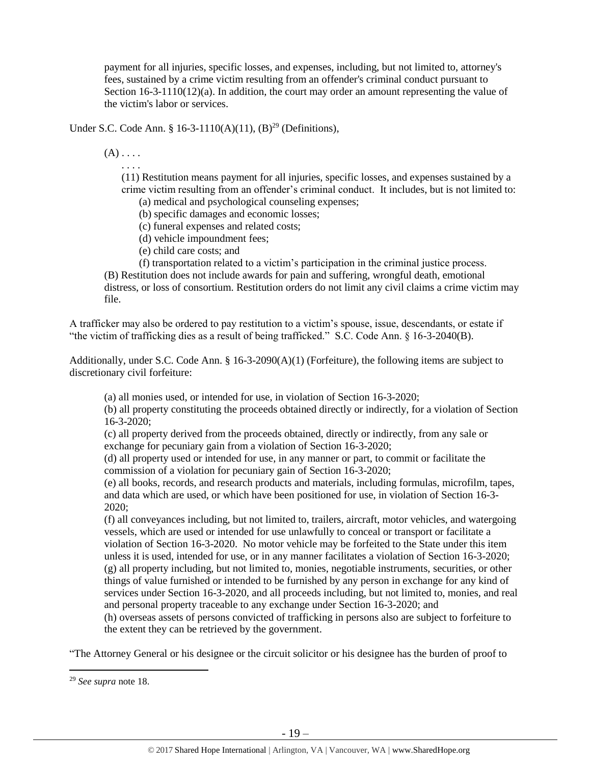payment for all injuries, specific losses, and expenses, including, but not limited to, attorney's fees, sustained by a crime victim resulting from an offender's criminal conduct pursuant to Section 16-3-1110(12)(a). In addition, the court may order an amount representing the value of the victim's labor or services.

Under S.C. Code Ann. § 16-3-1110(A)(11),  $(B)^{29}$  (Definitions),

 $(A) \ldots$ 

. . . .

(11) Restitution means payment for all injuries, specific losses, and expenses sustained by a crime victim resulting from an offender's criminal conduct. It includes, but is not limited to: (a) medical and psychological counseling expenses;

(b) specific damages and economic losses;

(c) funeral expenses and related costs;

(d) vehicle impoundment fees;

(e) child care costs; and

(f) transportation related to a victim's participation in the criminal justice process.

(B) Restitution does not include awards for pain and suffering, wrongful death, emotional distress, or loss of consortium. Restitution orders do not limit any civil claims a crime victim may file.

A trafficker may also be ordered to pay restitution to a victim's spouse, issue, descendants, or estate if "the victim of trafficking dies as a result of being trafficked." S.C. Code Ann. § 16-3-2040(B).

Additionally, under S.C. Code Ann. § 16-3-2090(A)(1) (Forfeiture), the following items are subject to discretionary civil forfeiture:

(a) all monies used, or intended for use, in violation of Section 16-3-2020;

(b) all property constituting the proceeds obtained directly or indirectly, for a violation of Section 16-3-2020;

(c) all property derived from the proceeds obtained, directly or indirectly, from any sale or exchange for pecuniary gain from a violation of Section 16-3-2020;

(d) all property used or intended for use, in any manner or part, to commit or facilitate the commission of a violation for pecuniary gain of Section 16-3-2020;

(e) all books, records, and research products and materials, including formulas, microfilm, tapes, and data which are used, or which have been positioned for use, in violation of Section 16-3- 2020;

(f) all conveyances including, but not limited to, trailers, aircraft, motor vehicles, and watergoing vessels, which are used or intended for use unlawfully to conceal or transport or facilitate a violation of Section 16-3-2020. No motor vehicle may be forfeited to the State under this item unless it is used, intended for use, or in any manner facilitates a violation of Section 16-3-2020; (g) all property including, but not limited to, monies, negotiable instruments, securities, or other things of value furnished or intended to be furnished by any person in exchange for any kind of services under Section 16-3-2020, and all proceeds including, but not limited to, monies, and real and personal property traceable to any exchange under Section 16-3-2020; and

(h) overseas assets of persons convicted of trafficking in persons also are subject to forfeiture to the extent they can be retrieved by the government.

"The Attorney General or his designee or the circuit solicitor or his designee has the burden of proof to

 $\overline{\phantom{a}}$ 

<sup>29</sup> *See supra* note [18.](#page-11-0)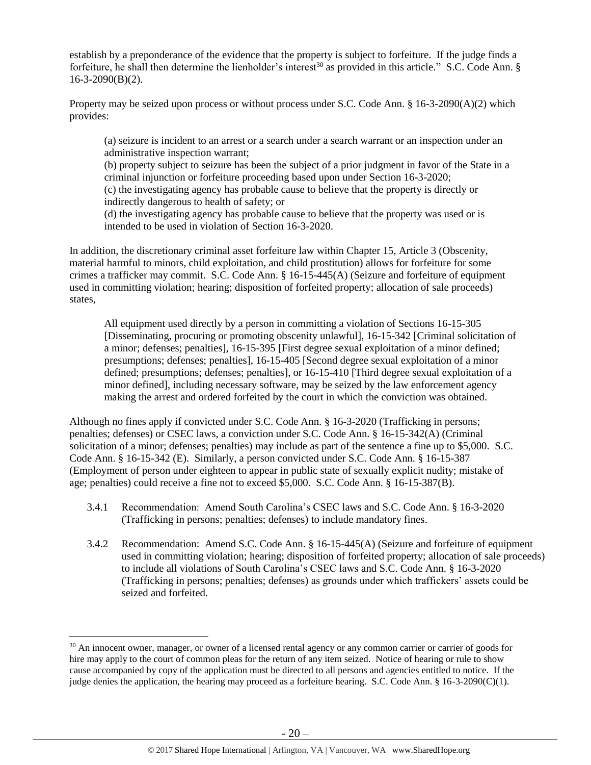establish by a preponderance of the evidence that the property is subject to forfeiture. If the judge finds a forfeiture, he shall then determine the lienholder's interest<sup>30</sup> as provided in this article." S.C. Code Ann. § 16-3-2090(B)(2).

Property may be seized upon process or without process under S.C. Code Ann. § 16-3-2090(A)(2) which provides:

(a) seizure is incident to an arrest or a search under a search warrant or an inspection under an administrative inspection warrant;

(b) property subject to seizure has been the subject of a prior judgment in favor of the State in a criminal injunction or forfeiture proceeding based upon under Section 16-3-2020; (c) the investigating agency has probable cause to believe that the property is directly or indirectly dangerous to health of safety; or

(d) the investigating agency has probable cause to believe that the property was used or is intended to be used in violation of Section 16-3-2020.

In addition, the discretionary criminal asset forfeiture law within Chapter 15, Article 3 (Obscenity, material harmful to minors, child exploitation, and child prostitution) allows for forfeiture for some crimes a trafficker may commit. S.C. Code Ann. § 16-15-445(A) (Seizure and forfeiture of equipment used in committing violation; hearing; disposition of forfeited property; allocation of sale proceeds) states,

All equipment used directly by a person in committing a violation of Sections 16-15-305 [Disseminating, procuring or promoting obscenity unlawful], 16-15-342 [Criminal solicitation of a minor; defenses; penalties], 16-15-395 [First degree sexual exploitation of a minor defined; presumptions; defenses; penalties], 16-15-405 [Second degree sexual exploitation of a minor defined; presumptions; defenses; penalties], or 16-15-410 [Third degree sexual exploitation of a minor defined], including necessary software, may be seized by the law enforcement agency making the arrest and ordered forfeited by the court in which the conviction was obtained.

Although no fines apply if convicted under S.C. Code Ann. § 16-3-2020 (Trafficking in persons; penalties; defenses) or CSEC laws, a conviction under S.C. Code Ann. § 16-15-342(A) (Criminal solicitation of a minor; defenses; penalties) may include as part of the sentence a fine up to \$5,000. S.C. Code Ann. § 16-15-342 (E). Similarly, a person convicted under S.C. Code Ann. § 16-15-387 (Employment of person under eighteen to appear in public state of sexually explicit nudity; mistake of age; penalties) could receive a fine not to exceed \$5,000. S.C. Code Ann. § 16-15-387(B).

- 3.4.1 Recommendation: Amend South Carolina's CSEC laws and S.C. Code Ann. § 16-3-2020 (Trafficking in persons; penalties; defenses) to include mandatory fines.
- 3.4.2 Recommendation: Amend S.C. Code Ann. § 16-15-445(A) (Seizure and forfeiture of equipment used in committing violation; hearing; disposition of forfeited property; allocation of sale proceeds) to include all violations of South Carolina's CSEC laws and S.C. Code Ann. § 16-3-2020 (Trafficking in persons; penalties; defenses) as grounds under which traffickers' assets could be seized and forfeited.

 $\overline{\phantom{a}}$ 

<sup>&</sup>lt;sup>30</sup> An innocent owner, manager, or owner of a licensed rental agency or any common carrier or carrier of goods for hire may apply to the court of common pleas for the return of any item seized. Notice of hearing or rule to show cause accompanied by copy of the application must be directed to all persons and agencies entitled to notice. If the judge denies the application, the hearing may proceed as a forfeiture hearing. S.C. Code Ann. § 16-3-2090(C)(1).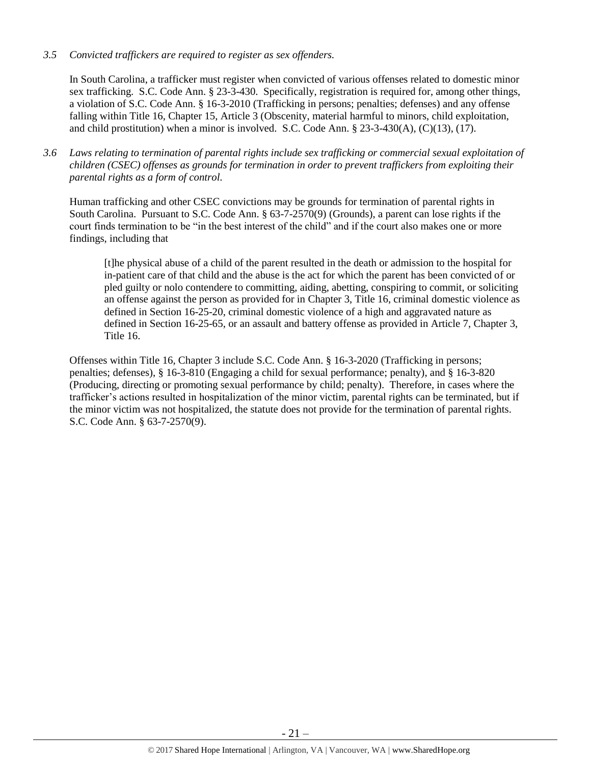# *3.5 Convicted traffickers are required to register as sex offenders.*

In South Carolina, a trafficker must register when convicted of various offenses related to domestic minor sex trafficking. S.C. Code Ann. § 23-3-430. Specifically, registration is required for, among other things, a violation of S.C. Code Ann. § 16-3-2010 (Trafficking in persons; penalties; defenses) and any offense falling within Title 16, Chapter 15, Article 3 (Obscenity, material harmful to minors, child exploitation, and child prostitution) when a minor is involved. S.C. Code Ann.  $\S 23-3-430(A)$ , (C)(13), (17).

*3.6 Laws relating to termination of parental rights include sex trafficking or commercial sexual exploitation of children (CSEC) offenses as grounds for termination in order to prevent traffickers from exploiting their parental rights as a form of control.* 

Human trafficking and other CSEC convictions may be grounds for termination of parental rights in South Carolina. Pursuant to S.C. Code Ann. § 63-7-2570(9) (Grounds), a parent can lose rights if the court finds termination to be "in the best interest of the child" and if the court also makes one or more findings, including that

[t]he physical abuse of a child of the parent resulted in the death or admission to the hospital for in-patient care of that child and the abuse is the act for which the parent has been convicted of or pled guilty or nolo contendere to committing, aiding, abetting, conspiring to commit, or soliciting an offense against the person as provided for in Chapter 3, Title 16, criminal domestic violence as defined in Section 16-25-20, criminal domestic violence of a high and aggravated nature as defined in Section 16-25-65, or an assault and battery offense as provided in Article 7, Chapter 3, Title 16.

Offenses within Title 16, Chapter 3 include S.C. Code Ann. § 16-3-2020 (Trafficking in persons; penalties; defenses), § 16-3-810 (Engaging a child for sexual performance; penalty), and § 16-3-820 (Producing, directing or promoting sexual performance by child; penalty). Therefore, in cases where the trafficker's actions resulted in hospitalization of the minor victim, parental rights can be terminated, but if the minor victim was not hospitalized, the statute does not provide for the termination of parental rights. S.C. Code Ann. § 63-7-2570(9).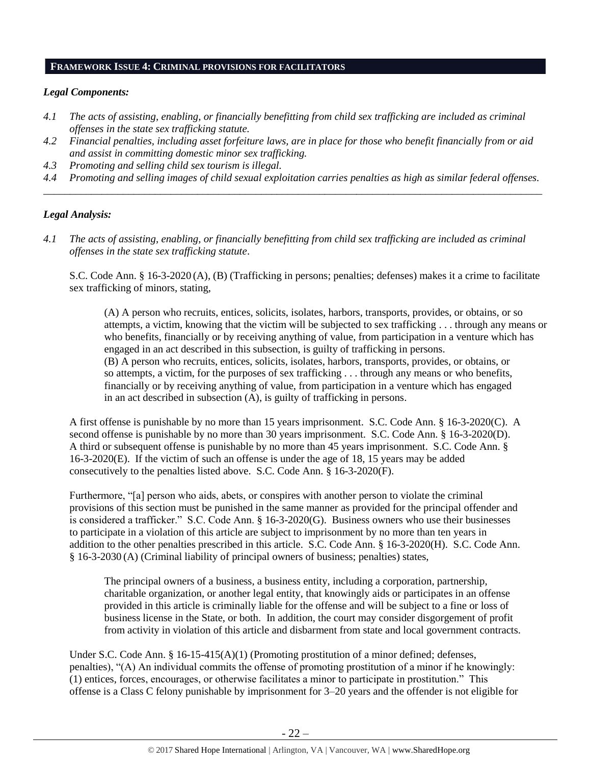# **FRAMEWORK ISSUE 4: CRIMINAL PROVISIONS FOR FACILITATORS**

# *Legal Components:*

- *4.1 The acts of assisting, enabling, or financially benefitting from child sex trafficking are included as criminal offenses in the state sex trafficking statute.*
- *4.2 Financial penalties, including asset forfeiture laws, are in place for those who benefit financially from or aid and assist in committing domestic minor sex trafficking.*
- *4.3 Promoting and selling child sex tourism is illegal.*
- *4.4 Promoting and selling images of child sexual exploitation carries penalties as high as similar federal offenses. \_\_\_\_\_\_\_\_\_\_\_\_\_\_\_\_\_\_\_\_\_\_\_\_\_\_\_\_\_\_\_\_\_\_\_\_\_\_\_\_\_\_\_\_\_\_\_\_\_\_\_\_\_\_\_\_\_\_\_\_\_\_\_\_\_\_\_\_\_\_\_\_\_\_\_\_\_\_\_\_\_\_\_\_\_\_\_\_\_\_\_\_\_\_*

# *Legal Analysis:*

*4.1 The acts of assisting, enabling, or financially benefitting from child sex trafficking are included as criminal offenses in the state sex trafficking statute*.

S.C. Code Ann. § 16-3-2020 (A), (B) (Trafficking in persons; penalties; defenses) makes it a crime to facilitate sex trafficking of minors, stating,

(A) A person who recruits, entices, solicits, isolates, harbors, transports, provides, or obtains, or so attempts, a victim, knowing that the victim will be subjected to sex trafficking . . . through any means or who benefits, financially or by receiving anything of value, from participation in a venture which has engaged in an act described in this subsection, is guilty of trafficking in persons. (B) A person who recruits, entices, solicits, isolates, harbors, transports, provides, or obtains, or so attempts, a victim, for the purposes of sex trafficking . . . through any means or who benefits, financially or by receiving anything of value, from participation in a venture which has engaged in an act described in subsection (A), is guilty of trafficking in persons.

A first offense is punishable by no more than 15 years imprisonment. S.C. Code Ann. § 16-3-2020(C). A second offense is punishable by no more than 30 years imprisonment. S.C. Code Ann. § 16-3-2020(D). A third or subsequent offense is punishable by no more than 45 years imprisonment. S.C. Code Ann. § 16-3-2020(E). If the victim of such an offense is under the age of 18, 15 years may be added consecutively to the penalties listed above. S.C. Code Ann. § 16-3-2020(F).

Furthermore, "[a] person who aids, abets, or conspires with another person to violate the criminal provisions of this section must be punished in the same manner as provided for the principal offender and is considered a trafficker." S.C. Code Ann. § 16-3-2020(G). Business owners who use their businesses to participate in a violation of this article are subject to imprisonment by no more than ten years in addition to the other penalties prescribed in this article. S.C. Code Ann. § 16-3-2020(H). S.C. Code Ann. § 16-3-2030 (A) (Criminal liability of principal owners of business; penalties) states,

The principal owners of a business, a business entity, including a corporation, partnership, charitable organization, or another legal entity, that knowingly aids or participates in an offense provided in this article is criminally liable for the offense and will be subject to a fine or loss of business license in the State, or both. In addition, the court may consider disgorgement of profit from activity in violation of this article and disbarment from state and local government contracts.

Under S.C. Code Ann. § 16-15-415(A)(1) (Promoting prostitution of a minor defined; defenses, penalties), "(A) An individual commits the offense of promoting prostitution of a minor if he knowingly: (1) entices, forces, encourages, or otherwise facilitates a minor to participate in prostitution." This offense is a Class C felony punishable by imprisonment for 3–20 years and the offender is not eligible for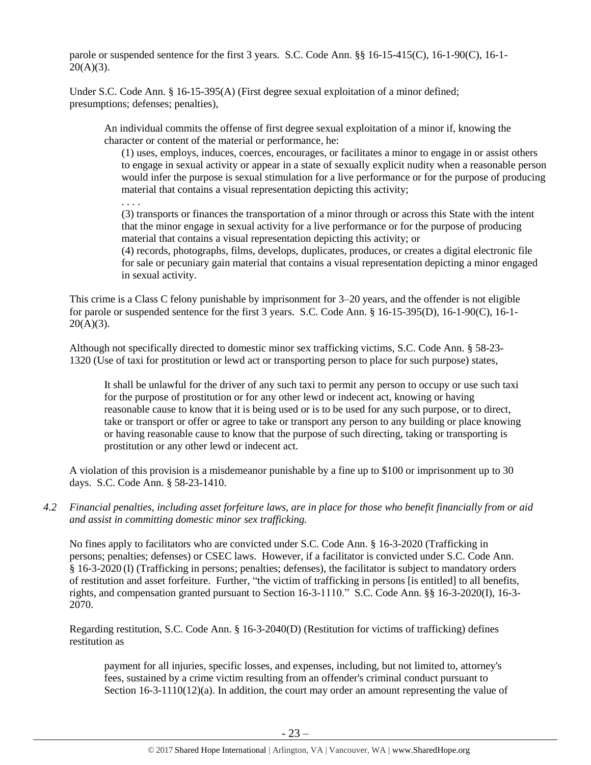parole or suspended sentence for the first 3 years. S.C. Code Ann. §§ 16-15-415(C), 16-1-90(C), 16-1-  $20(A)(3)$ .

Under S.C. Code Ann. § 16-15-395(A) (First degree sexual exploitation of a minor defined; presumptions; defenses; penalties),

An individual commits the offense of first degree sexual exploitation of a minor if, knowing the character or content of the material or performance, he:

(1) uses, employs, induces, coerces, encourages, or facilitates a minor to engage in or assist others to engage in sexual activity or appear in a state of sexually explicit nudity when a reasonable person would infer the purpose is sexual stimulation for a live performance or for the purpose of producing material that contains a visual representation depicting this activity;

. . . .

(3) transports or finances the transportation of a minor through or across this State with the intent that the minor engage in sexual activity for a live performance or for the purpose of producing material that contains a visual representation depicting this activity; or

(4) records, photographs, films, develops, duplicates, produces, or creates a digital electronic file for sale or pecuniary gain material that contains a visual representation depicting a minor engaged in sexual activity.

This crime is a Class C felony punishable by imprisonment for 3–20 years, and the offender is not eligible for parole or suspended sentence for the first 3 years. S.C. Code Ann. § 16-15-395(D), 16-1-90(C), 16-1-  $20(A)(3)$ .

Although not specifically directed to domestic minor sex trafficking victims, S.C. Code Ann. § 58-23- 1320 (Use of taxi for prostitution or lewd act or transporting person to place for such purpose) states,

It shall be unlawful for the driver of any such taxi to permit any person to occupy or use such taxi for the purpose of prostitution or for any other lewd or indecent act, knowing or having reasonable cause to know that it is being used or is to be used for any such purpose, or to direct, take or transport or offer or agree to take or transport any person to any building or place knowing or having reasonable cause to know that the purpose of such directing, taking or transporting is prostitution or any other lewd or indecent act.

A violation of this provision is a misdemeanor punishable by a fine up to \$100 or imprisonment up to 30 days. S.C. Code Ann. § 58-23-1410.

*4.2 Financial penalties, including asset forfeiture laws, are in place for those who benefit financially from or aid and assist in committing domestic minor sex trafficking.*

No fines apply to facilitators who are convicted under S.C. Code Ann. § 16-3-2020 (Trafficking in persons; penalties; defenses) or CSEC laws. However, if a facilitator is convicted under S.C. Code Ann. § 16-3-2020 (I) (Trafficking in persons; penalties; defenses), the facilitator is subject to mandatory orders of restitution and asset forfeiture. Further, "the victim of trafficking in persons [is entitled] to all benefits, rights, and compensation granted pursuant to Section 16-3-1110." S.C. Code Ann. §§ 16-3-2020(I), 16-3- 2070.

Regarding restitution, S.C. Code Ann. § 16-3-2040(D) (Restitution for victims of trafficking) defines restitution as

payment for all injuries, specific losses, and expenses, including, but not limited to, attorney's fees, sustained by a crime victim resulting from an offender's criminal conduct pursuant to Section 16-3-1110(12)(a). In addition, the court may order an amount representing the value of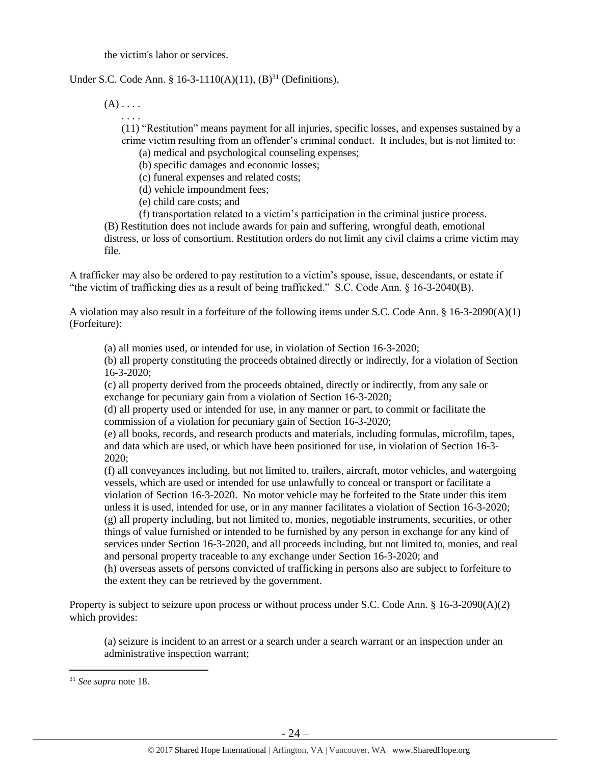the victim's labor or services.

# Under S.C. Code Ann. § 16-3-1110(A)(11),  $(B)^{31}$  (Definitions),

 $(A)$ ....

. . . . (11) "Restitution" means payment for all injuries, specific losses, and expenses sustained by a crime victim resulting from an offender's criminal conduct. It includes, but is not limited to:

(a) medical and psychological counseling expenses;

(b) specific damages and economic losses;

(c) funeral expenses and related costs;

(d) vehicle impoundment fees;

(e) child care costs; and

(f) transportation related to a victim's participation in the criminal justice process.

(B) Restitution does not include awards for pain and suffering, wrongful death, emotional distress, or loss of consortium. Restitution orders do not limit any civil claims a crime victim may file.

A trafficker may also be ordered to pay restitution to a victim's spouse, issue, descendants, or estate if "the victim of trafficking dies as a result of being trafficked." S.C. Code Ann. § 16-3-2040(B).

A violation may also result in a forfeiture of the following items under S.C. Code Ann. § 16-3-2090(A)(1) (Forfeiture):

(a) all monies used, or intended for use, in violation of Section 16-3-2020;

(b) all property constituting the proceeds obtained directly or indirectly, for a violation of Section 16-3-2020;

(c) all property derived from the proceeds obtained, directly or indirectly, from any sale or exchange for pecuniary gain from a violation of Section 16-3-2020;

(d) all property used or intended for use, in any manner or part, to commit or facilitate the commission of a violation for pecuniary gain of Section 16-3-2020;

(e) all books, records, and research products and materials, including formulas, microfilm, tapes, and data which are used, or which have been positioned for use, in violation of Section 16-3- 2020;

(f) all conveyances including, but not limited to, trailers, aircraft, motor vehicles, and watergoing vessels, which are used or intended for use unlawfully to conceal or transport or facilitate a violation of Section 16-3-2020. No motor vehicle may be forfeited to the State under this item unless it is used, intended for use, or in any manner facilitates a violation of Section 16-3-2020; (g) all property including, but not limited to, monies, negotiable instruments, securities, or other things of value furnished or intended to be furnished by any person in exchange for any kind of services under Section 16-3-2020, and all proceeds including, but not limited to, monies, and real and personal property traceable to any exchange under Section 16-3-2020; and

(h) overseas assets of persons convicted of trafficking in persons also are subject to forfeiture to the extent they can be retrieved by the government.

Property is subject to seizure upon process or without process under S.C. Code Ann. § 16-3-2090(A)(2) which provides:

(a) seizure is incident to an arrest or a search under a search warrant or an inspection under an administrative inspection warrant;

 $\overline{\phantom{a}}$ 

<sup>31</sup> *See supra* note [18.](#page-11-0)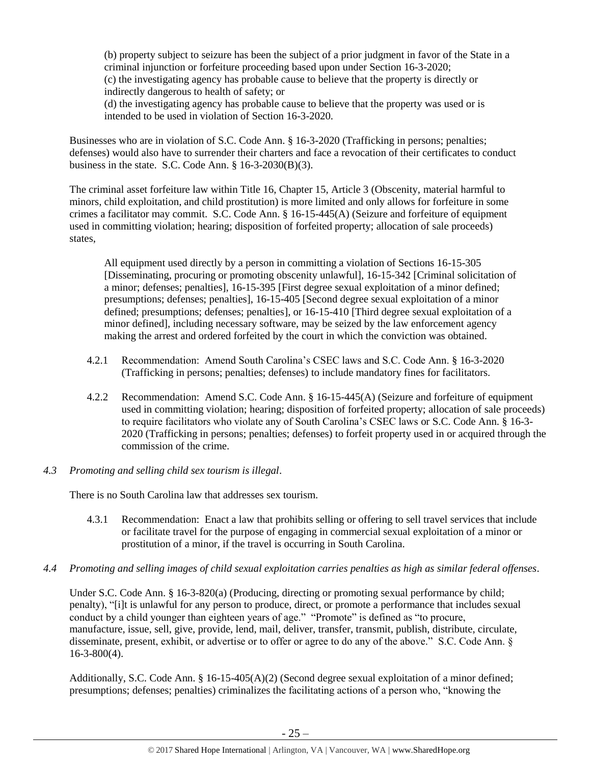(b) property subject to seizure has been the subject of a prior judgment in favor of the State in a criminal injunction or forfeiture proceeding based upon under Section 16-3-2020; (c) the investigating agency has probable cause to believe that the property is directly or indirectly dangerous to health of safety; or

(d) the investigating agency has probable cause to believe that the property was used or is intended to be used in violation of Section 16-3-2020.

Businesses who are in violation of S.C. Code Ann. § 16-3-2020 (Trafficking in persons; penalties; defenses) would also have to surrender their charters and face a revocation of their certificates to conduct business in the state. S.C. Code Ann.  $\S$  16-3-2030(B)(3).

The criminal asset forfeiture law within Title 16, Chapter 15, Article 3 (Obscenity, material harmful to minors, child exploitation, and child prostitution) is more limited and only allows for forfeiture in some crimes a facilitator may commit. S.C. Code Ann. § 16-15-445(A) (Seizure and forfeiture of equipment used in committing violation; hearing; disposition of forfeited property; allocation of sale proceeds) states,

All equipment used directly by a person in committing a violation of Sections 16-15-305 [Disseminating, procuring or promoting obscenity unlawful], 16-15-342 [Criminal solicitation of a minor; defenses; penalties], 16-15-395 [First degree sexual exploitation of a minor defined; presumptions; defenses; penalties], 16-15-405 [Second degree sexual exploitation of a minor defined; presumptions; defenses; penalties], or 16-15-410 [Third degree sexual exploitation of a minor defined], including necessary software, may be seized by the law enforcement agency making the arrest and ordered forfeited by the court in which the conviction was obtained.

- 4.2.1 Recommendation: Amend South Carolina's CSEC laws and S.C. Code Ann. § 16-3-2020 (Trafficking in persons; penalties; defenses) to include mandatory fines for facilitators.
- 4.2.2 Recommendation: Amend S.C. Code Ann. § 16-15-445(A) (Seizure and forfeiture of equipment used in committing violation; hearing; disposition of forfeited property; allocation of sale proceeds) to require facilitators who violate any of South Carolina's CSEC laws or S.C. Code Ann. § 16-3- 2020 (Trafficking in persons; penalties; defenses) to forfeit property used in or acquired through the commission of the crime.
- *4.3 Promoting and selling child sex tourism is illegal*.

There is no South Carolina law that addresses sex tourism.

- 4.3.1 Recommendation: Enact a law that prohibits selling or offering to sell travel services that include or facilitate travel for the purpose of engaging in commercial sexual exploitation of a minor or prostitution of a minor, if the travel is occurring in South Carolina.
- *4.4 Promoting and selling images of child sexual exploitation carries penalties as high as similar federal offenses*.

Under S.C. Code Ann. § 16-3-820(a) (Producing, directing or promoting sexual performance by child; penalty), "[i]t is unlawful for any person to produce, direct, or promote a performance that includes sexual conduct by a child younger than eighteen years of age." "Promote" is defined as "to procure, manufacture, issue, sell, give, provide, lend, mail, deliver, transfer, transmit, publish, distribute, circulate, disseminate, present, exhibit, or advertise or to offer or agree to do any of the above." S.C. Code Ann. § 16-3-800(4).

Additionally, S.C. Code Ann. § 16-15-405(A)(2) (Second degree sexual exploitation of a minor defined; presumptions; defenses; penalties) criminalizes the facilitating actions of a person who, "knowing the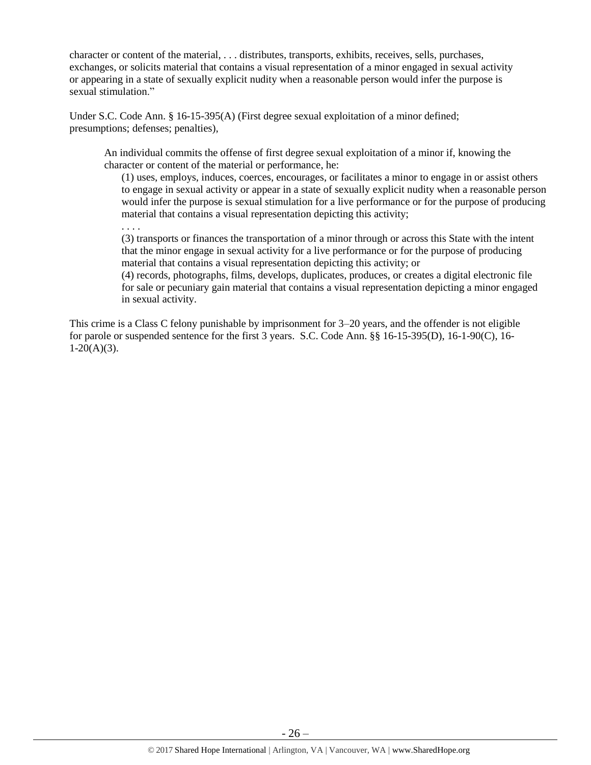character or content of the material, . . . distributes, transports, exhibits, receives, sells, purchases, exchanges, or solicits material that contains a visual representation of a minor engaged in sexual activity or appearing in a state of sexually explicit nudity when a reasonable person would infer the purpose is sexual stimulation."

Under S.C. Code Ann. § 16-15-395(A) (First degree sexual exploitation of a minor defined; presumptions; defenses; penalties),

An individual commits the offense of first degree sexual exploitation of a minor if, knowing the character or content of the material or performance, he:

(1) uses, employs, induces, coerces, encourages, or facilitates a minor to engage in or assist others to engage in sexual activity or appear in a state of sexually explicit nudity when a reasonable person would infer the purpose is sexual stimulation for a live performance or for the purpose of producing material that contains a visual representation depicting this activity;

. . . .

(3) transports or finances the transportation of a minor through or across this State with the intent that the minor engage in sexual activity for a live performance or for the purpose of producing material that contains a visual representation depicting this activity; or

(4) records, photographs, films, develops, duplicates, produces, or creates a digital electronic file for sale or pecuniary gain material that contains a visual representation depicting a minor engaged in sexual activity.

This crime is a Class C felony punishable by imprisonment for 3–20 years, and the offender is not eligible for parole or suspended sentence for the first 3 years. S.C. Code Ann. §§ 16-15-395(D), 16-1-90(C), 16-  $1-20(A)(3)$ .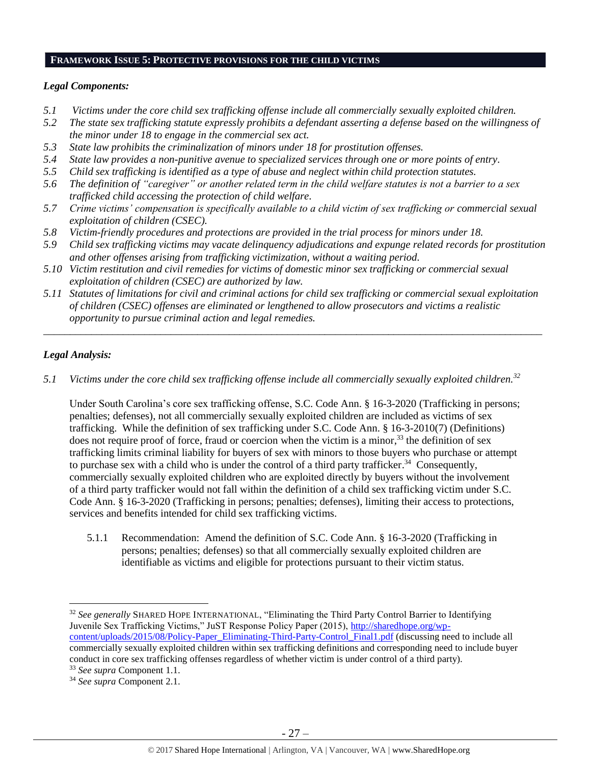# **FRAMEWORK ISSUE 5: PROTECTIVE PROVISIONS FOR THE CHILD VICTIMS**

#### *Legal Components:*

- *5.1 Victims under the core child sex trafficking offense include all commercially sexually exploited children.*
- *5.2 The state sex trafficking statute expressly prohibits a defendant asserting a defense based on the willingness of the minor under 18 to engage in the commercial sex act.*
- *5.3 State law prohibits the criminalization of minors under 18 for prostitution offenses.*
- *5.4 State law provides a non-punitive avenue to specialized services through one or more points of entry.*
- *5.5 Child sex trafficking is identified as a type of abuse and neglect within child protection statutes.*
- *5.6 The definition of "caregiver" or another related term in the child welfare statutes is not a barrier to a sex trafficked child accessing the protection of child welfare.*
- *5.7 Crime victims' compensation is specifically available to a child victim of sex trafficking or commercial sexual exploitation of children (CSEC).*
- *5.8 Victim-friendly procedures and protections are provided in the trial process for minors under 18.*
- *5.9 Child sex trafficking victims may vacate delinquency adjudications and expunge related records for prostitution and other offenses arising from trafficking victimization, without a waiting period.*
- *5.10 Victim restitution and civil remedies for victims of domestic minor sex trafficking or commercial sexual exploitation of children (CSEC) are authorized by law.*
- *5.11 Statutes of limitations for civil and criminal actions for child sex trafficking or commercial sexual exploitation of children (CSEC) offenses are eliminated or lengthened to allow prosecutors and victims a realistic opportunity to pursue criminal action and legal remedies.*

*\_\_\_\_\_\_\_\_\_\_\_\_\_\_\_\_\_\_\_\_\_\_\_\_\_\_\_\_\_\_\_\_\_\_\_\_\_\_\_\_\_\_\_\_\_\_\_\_\_\_\_\_\_\_\_\_\_\_\_\_\_\_\_\_\_\_\_\_\_\_\_\_\_\_\_\_\_\_\_\_\_\_\_\_\_\_\_\_\_\_\_\_\_\_*

# *Legal Analysis:*

 $\overline{\phantom{a}}$ 

*5.1 Victims under the core child sex trafficking offense include all commercially sexually exploited children.<sup>32</sup>*

Under South Carolina's core sex trafficking offense, S.C. Code Ann. § 16-3-2020 (Trafficking in persons; penalties; defenses), not all commercially sexually exploited children are included as victims of sex trafficking. While the definition of sex trafficking under S.C. Code Ann. § 16-3-2010(7) (Definitions) does not require proof of force, fraud or coercion when the victim is a minor,<sup>33</sup> the definition of sex trafficking limits criminal liability for buyers of sex with minors to those buyers who purchase or attempt to purchase sex with a child who is under the control of a third party trafficker.<sup>34</sup> Consequently, commercially sexually exploited children who are exploited directly by buyers without the involvement of a third party trafficker would not fall within the definition of a child sex trafficking victim under S.C. Code Ann. § 16-3-2020 (Trafficking in persons; penalties; defenses), limiting their access to protections, services and benefits intended for child sex trafficking victims.

5.1.1 Recommendation: Amend the definition of S.C. Code Ann. § 16-3-2020 (Trafficking in persons; penalties; defenses) so that all commercially sexually exploited children are identifiable as victims and eligible for protections pursuant to their victim status.

<sup>32</sup> *See generally* SHARED HOPE INTERNATIONAL, "Eliminating the Third Party Control Barrier to Identifying Juvenile Sex Trafficking Victims," JuST Response Policy Paper (2015), [http://sharedhope.org/wp](http://sharedhope.org/wp-content/uploads/2015/08/Policy-Paper_Eliminating-Third-Party-Control_Final1.pdf)[content/uploads/2015/08/Policy-Paper\\_Eliminating-Third-Party-Control\\_Final1.pdf](http://sharedhope.org/wp-content/uploads/2015/08/Policy-Paper_Eliminating-Third-Party-Control_Final1.pdf) (discussing need to include all commercially sexually exploited children within sex trafficking definitions and corresponding need to include buyer conduct in core sex trafficking offenses regardless of whether victim is under control of a third party). <sup>33</sup> *See supra* Component 1.1.

<sup>34</sup> *See supra* Component 2.1.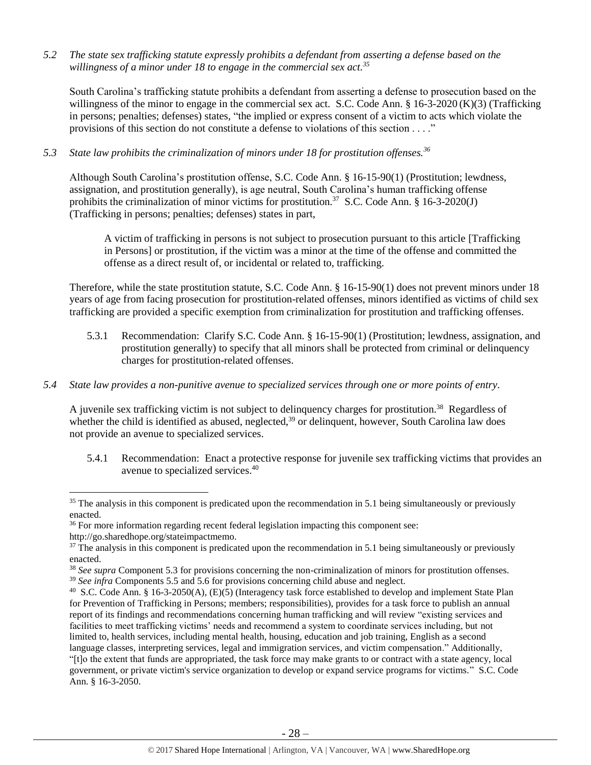*5.2 The state sex trafficking statute expressly prohibits a defendant from asserting a defense based on the willingness of a minor under 18 to engage in the commercial sex act.<sup>35</sup>*

South Carolina's trafficking statute prohibits a defendant from asserting a defense to prosecution based on the willingness of the minor to engage in the commercial sex act. S.C. Code Ann. § 16-3-2020 (K)(3) (Trafficking in persons; penalties; defenses) states, "the implied or express consent of a victim to acts which violate the provisions of this section do not constitute a defense to violations of this section . . . ."

*5.3 State law prohibits the criminalization of minors under 18 for prostitution offenses.<sup>36</sup>*

Although South Carolina's prostitution offense, S.C. Code Ann. § 16-15-90(1) (Prostitution; lewdness, assignation, and prostitution generally), is age neutral, South Carolina's human trafficking offense prohibits the criminalization of minor victims for prostitution.<sup>37</sup> S.C. Code Ann. § 16-3-2020(J) (Trafficking in persons; penalties; defenses) states in part,

A victim of trafficking in persons is not subject to prosecution pursuant to this article [Trafficking in Persons] or prostitution, if the victim was a minor at the time of the offense and committed the offense as a direct result of, or incidental or related to, trafficking.

Therefore, while the state prostitution statute, S.C. Code Ann. § 16-15-90(1) does not prevent minors under 18 years of age from facing prosecution for prostitution-related offenses, minors identified as victims of child sex trafficking are provided a specific exemption from criminalization for prostitution and trafficking offenses.

- 5.3.1 Recommendation: Clarify S.C. Code Ann. § 16-15-90(1) (Prostitution; lewdness, assignation, and prostitution generally) to specify that all minors shall be protected from criminal or delinquency charges for prostitution-related offenses.
- *5.4 State law provides a non-punitive avenue to specialized services through one or more points of entry.*

A juvenile sex trafficking victim is not subject to delinquency charges for prostitution.<sup>38</sup> Regardless of whether the child is identified as abused, neglected, $39$  or delinquent, however, South Carolina law does not provide an avenue to specialized services.

5.4.1 Recommendation: Enact a protective response for juvenile sex trafficking victims that provides an avenue to specialized services. 40

l

 $35$  The analysis in this component is predicated upon the recommendation in 5.1 being simultaneously or previously enacted.

<sup>&</sup>lt;sup>36</sup> For more information regarding recent federal legislation impacting this component see:

http://go.sharedhope.org/stateimpactmemo.

 $37$  The analysis in this component is predicated upon the recommendation in 5.1 being simultaneously or previously enacted.

<sup>&</sup>lt;sup>38</sup> *See supra* Component 5.3 for provisions concerning the non-criminalization of minors for prostitution offenses.

<sup>&</sup>lt;sup>39</sup> *See infra* Components 5.5 and 5.6 for provisions concerning child abuse and neglect.

<sup>&</sup>lt;sup>40</sup> S.C. Code Ann. § 16-3-2050(A), (E)(5) (Interagency task force established to develop and implement State Plan for Prevention of Trafficking in Persons; members; responsibilities), provides for a task force to publish an annual report of its findings and recommendations concerning human trafficking and will review "existing services and facilities to meet trafficking victims' needs and recommend a system to coordinate services including, but not limited to, health services, including mental health, housing, education and job training, English as a second language classes, interpreting services, legal and immigration services, and victim compensation." Additionally,

<sup>&</sup>quot;[t]o the extent that funds are appropriated, the task force may make grants to or contract with a state agency, local government, or private victim's service organization to develop or expand service programs for victims." S.C. Code Ann. § 16-3-2050.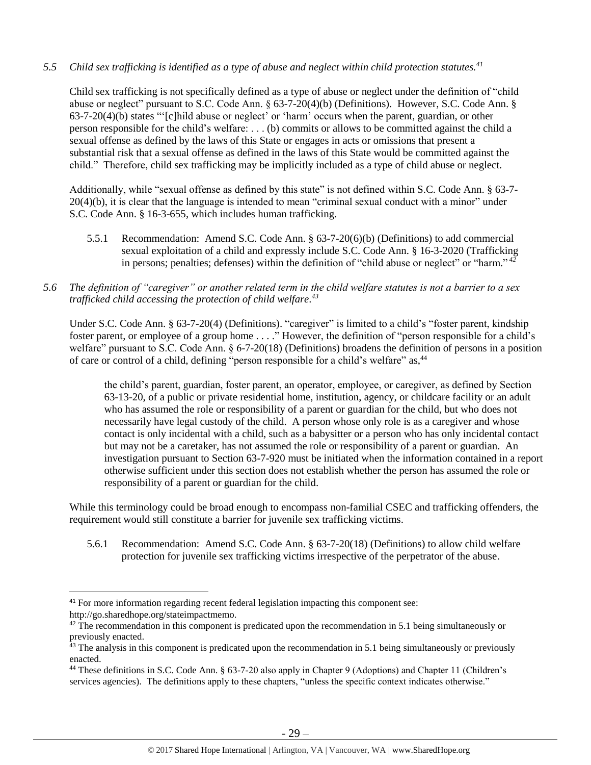# *5.5 Child sex trafficking is identified as a type of abuse and neglect within child protection statutes.<sup>41</sup>*

Child sex trafficking is not specifically defined as a type of abuse or neglect under the definition of "child abuse or neglect" pursuant to S.C. Code Ann. § 63-7-20(4)(b) (Definitions). However, S.C. Code Ann. § 63-7-20(4)(b) states "'[c]hild abuse or neglect' or 'harm' occurs when the parent, guardian, or other person responsible for the child's welfare: . . . (b) commits or allows to be committed against the child a sexual offense as defined by the laws of this State or engages in acts or omissions that present a substantial risk that a sexual offense as defined in the laws of this State would be committed against the child." Therefore, child sex trafficking may be implicitly included as a type of child abuse or neglect.

Additionally, while "sexual offense as defined by this state" is not defined within S.C. Code Ann. § 63-7- 20(4)(b), it is clear that the language is intended to mean "criminal sexual conduct with a minor" under S.C. Code Ann. § 16-3-655, which includes human trafficking.

5.5.1 Recommendation: Amend S.C. Code Ann. § 63-7-20(6)(b) (Definitions) to add commercial sexual exploitation of a child and expressly include S.C. Code Ann. § 16-3-2020 (Trafficking in persons; penalties; defenses) within the definition of "child abuse or neglect" or "harm." *42*

# *5.6 The definition of "caregiver" or another related term in the child welfare statutes is not a barrier to a sex trafficked child accessing the protection of child welfare. 43*

Under S.C. Code Ann. § 63-7-20(4) (Definitions). "caregiver" is limited to a child's "foster parent, kindship foster parent, or employee of a group home . . . ." However, the definition of "person responsible for a child's welfare" pursuant to S.C. Code Ann. § 6-7-20(18) (Definitions) broadens the definition of persons in a position of care or control of a child, defining "person responsible for a child's welfare" as,<sup>44</sup>

the child's parent, guardian, foster parent, an operator, employee, or caregiver, as defined by Section 63-13-20, of a public or private residential home, institution, agency, or childcare facility or an adult who has assumed the role or responsibility of a parent or guardian for the child, but who does not necessarily have legal custody of the child. A person whose only role is as a caregiver and whose contact is only incidental with a child, such as a babysitter or a person who has only incidental contact but may not be a caretaker, has not assumed the role or responsibility of a parent or guardian. An investigation pursuant to Section 63-7-920 must be initiated when the information contained in a report otherwise sufficient under this section does not establish whether the person has assumed the role or responsibility of a parent or guardian for the child.

While this terminology could be broad enough to encompass non-familial CSEC and trafficking offenders, the requirement would still constitute a barrier for juvenile sex trafficking victims.

5.6.1 Recommendation: Amend S.C. Code Ann. § 63-7-20(18) (Definitions) to allow child welfare protection for juvenile sex trafficking victims irrespective of the perpetrator of the abuse.

l

<sup>&</sup>lt;sup>41</sup> For more information regarding recent federal legislation impacting this component see: http://go.sharedhope.org/stateimpactmemo.

 $42$  The recommendation in this component is predicated upon the recommendation in 5.1 being simultaneously or previously enacted.

<sup>&</sup>lt;sup>43</sup> The analysis in this component is predicated upon the recommendation in 5.1 being simultaneously or previously enacted.

<sup>&</sup>lt;sup>44</sup> These definitions in S.C. Code Ann. § 63-7-20 also apply in Chapter 9 (Adoptions) and Chapter 11 (Children's services agencies). The definitions apply to these chapters, "unless the specific context indicates otherwise."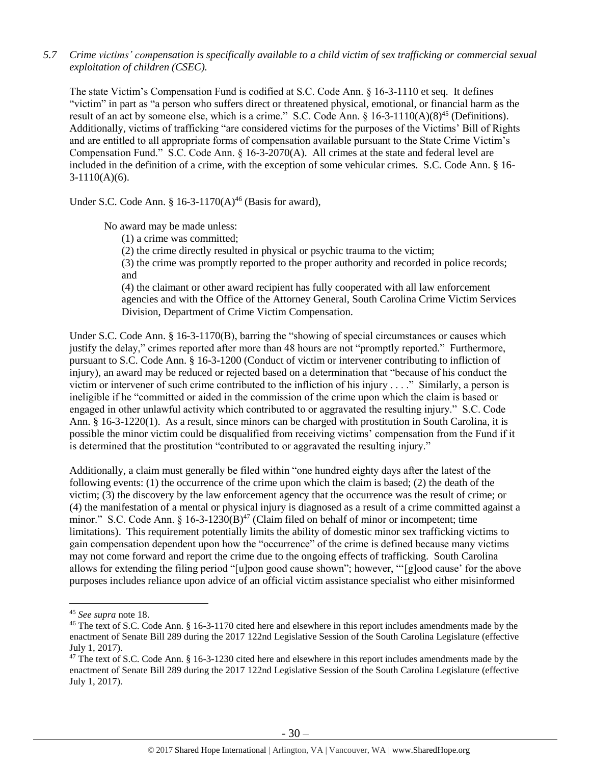*5.7 Crime victims' compensation is specifically available to a child victim of sex trafficking or commercial sexual exploitation of children (CSEC).*

The state Victim's Compensation Fund is codified at S.C. Code Ann. § 16-3-1110 et seq. It defines "victim" in part as "a person who suffers direct or threatened physical, emotional, or financial harm as the result of an act by someone else, which is a crime." S.C. Code Ann.  $\S 16-3-1110(A)(8)^{45}$  (Definitions). Additionally, victims of trafficking "are considered victims for the purposes of the Victims' Bill of Rights and are entitled to all appropriate forms of compensation available pursuant to the State Crime Victim's Compensation Fund." S.C. Code Ann. § 16-3-2070(A). All crimes at the state and federal level are included in the definition of a crime, with the exception of some vehicular crimes. S.C. Code Ann. § 16- 3-1110(A)(6).

Under S.C. Code Ann. §  $16-3-1170(A)^{46}$  (Basis for award),

No award may be made unless:

(1) a crime was committed;

(2) the crime directly resulted in physical or psychic trauma to the victim;

(3) the crime was promptly reported to the proper authority and recorded in police records; and

(4) the claimant or other award recipient has fully cooperated with all law enforcement agencies and with the Office of the Attorney General, South Carolina Crime Victim Services Division, Department of Crime Victim Compensation.

Under S.C. Code Ann. § 16-3-1170(B), barring the "showing of special circumstances or causes which justify the delay," crimes reported after more than 48 hours are not "promptly reported." Furthermore, pursuant to S.C. Code Ann. § 16-3-1200 (Conduct of victim or intervener contributing to infliction of injury), an award may be reduced or rejected based on a determination that "because of his conduct the victim or intervener of such crime contributed to the infliction of his injury . . . ." Similarly, a person is ineligible if he "committed or aided in the commission of the crime upon which the claim is based or engaged in other unlawful activity which contributed to or aggravated the resulting injury." S.C. Code Ann. § 16-3-1220(1). As a result, since minors can be charged with prostitution in South Carolina, it is possible the minor victim could be disqualified from receiving victims' compensation from the Fund if it is determined that the prostitution "contributed to or aggravated the resulting injury."

Additionally, a claim must generally be filed within "one hundred eighty days after the latest of the following events: (1) the occurrence of the crime upon which the claim is based; (2) the death of the victim; (3) the discovery by the law enforcement agency that the occurrence was the result of crime; or (4) the manifestation of a mental or physical injury is diagnosed as a result of a crime committed against a minor." S.C. Code Ann. § 16-3-1230(B)<sup>47</sup> (Claim filed on behalf of minor or incompetent; time limitations). This requirement potentially limits the ability of domestic minor sex trafficking victims to gain compensation dependent upon how the "occurrence" of the crime is defined because many victims may not come forward and report the crime due to the ongoing effects of trafficking. South Carolina allows for extending the filing period "[u]pon good cause shown"; however, "'[g]ood cause' for the above purposes includes reliance upon advice of an official victim assistance specialist who either misinformed

 $\overline{\phantom{a}}$ 

<sup>45</sup> *See supra* note [18.](#page-11-0)

<sup>&</sup>lt;sup>46</sup> The text of S.C. Code Ann. § 16-3-1170 cited here and elsewhere in this report includes amendments made by the enactment of Senate Bill 289 during the 2017 122nd Legislative Session of the South Carolina Legislature (effective July 1, 2017).

<sup>&</sup>lt;sup>47</sup> The text of S.C. Code Ann. § 16-3-1230 cited here and elsewhere in this report includes amendments made by the enactment of Senate Bill 289 during the 2017 122nd Legislative Session of the South Carolina Legislature (effective July 1, 2017).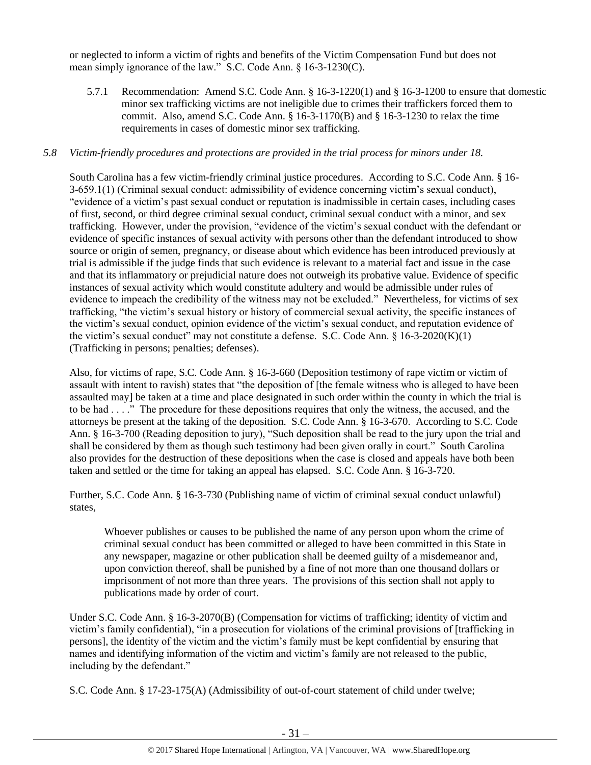or neglected to inform a victim of rights and benefits of the Victim Compensation Fund but does not mean simply ignorance of the law." S.C. Code Ann. § 16-3-1230(C).

5.7.1 Recommendation: Amend S.C. Code Ann. § 16-3-1220(1) and § 16-3-1200 to ensure that domestic minor sex trafficking victims are not ineligible due to crimes their traffickers forced them to commit. Also, amend S.C. Code Ann.  $\S$  16-3-1170(B) and  $\S$  16-3-1230 to relax the time requirements in cases of domestic minor sex trafficking.

# *5.8 Victim-friendly procedures and protections are provided in the trial process for minors under 18.*

South Carolina has a few victim-friendly criminal justice procedures. According to S.C. Code Ann. § 16- 3-659.1(1) (Criminal sexual conduct: admissibility of evidence concerning victim's sexual conduct), "evidence of a victim's past sexual conduct or reputation is inadmissible in certain cases, including cases of first, second, or third degree criminal sexual conduct, criminal sexual conduct with a minor, and sex trafficking. However, under the provision, "evidence of the victim's sexual conduct with the defendant or evidence of specific instances of sexual activity with persons other than the defendant introduced to show source or origin of semen, pregnancy, or disease about which evidence has been introduced previously at trial is admissible if the judge finds that such evidence is relevant to a material fact and issue in the case and that its inflammatory or prejudicial nature does not outweigh its probative value. Evidence of specific instances of sexual activity which would constitute adultery and would be admissible under rules of evidence to impeach the credibility of the witness may not be excluded." Nevertheless, for victims of sex trafficking, "the victim's sexual history or history of commercial sexual activity, the specific instances of the victim's sexual conduct, opinion evidence of the victim's sexual conduct, and reputation evidence of the victim's sexual conduct" may not constitute a defense. S.C. Code Ann. § 16-3-2020(K)(1) (Trafficking in persons; penalties; defenses).

Also, for victims of rape, S.C. Code Ann. § 16-3-660 (Deposition testimony of rape victim or victim of assault with intent to ravish) states that "the deposition of [the female witness who is alleged to have been assaulted may] be taken at a time and place designated in such order within the county in which the trial is to be had . . . ." The procedure for these depositions requires that only the witness, the accused, and the attorneys be present at the taking of the deposition. S.C. Code Ann. § 16-3-670. According to S.C. Code Ann. § 16-3-700 (Reading deposition to jury), "Such deposition shall be read to the jury upon the trial and shall be considered by them as though such testimony had been given orally in court." South Carolina also provides for the destruction of these depositions when the case is closed and appeals have both been taken and settled or the time for taking an appeal has elapsed. S.C. Code Ann. § 16-3-720.

Further, S.C. Code Ann. § 16-3-730 (Publishing name of victim of criminal sexual conduct unlawful) states,

Whoever publishes or causes to be published the name of any person upon whom the crime of criminal sexual conduct has been committed or alleged to have been committed in this State in any newspaper, magazine or other publication shall be deemed guilty of a misdemeanor and, upon conviction thereof, shall be punished by a fine of not more than one thousand dollars or imprisonment of not more than three years. The provisions of this section shall not apply to publications made by order of court.

Under S.C. Code Ann. § 16-3-2070(B) (Compensation for victims of trafficking; identity of victim and victim's family confidential), "in a prosecution for violations of the criminal provisions of [trafficking in persons], the identity of the victim and the victim's family must be kept confidential by ensuring that names and identifying information of the victim and victim's family are not released to the public, including by the defendant."

S.C. Code Ann. § 17-23-175(A) (Admissibility of out-of-court statement of child under twelve;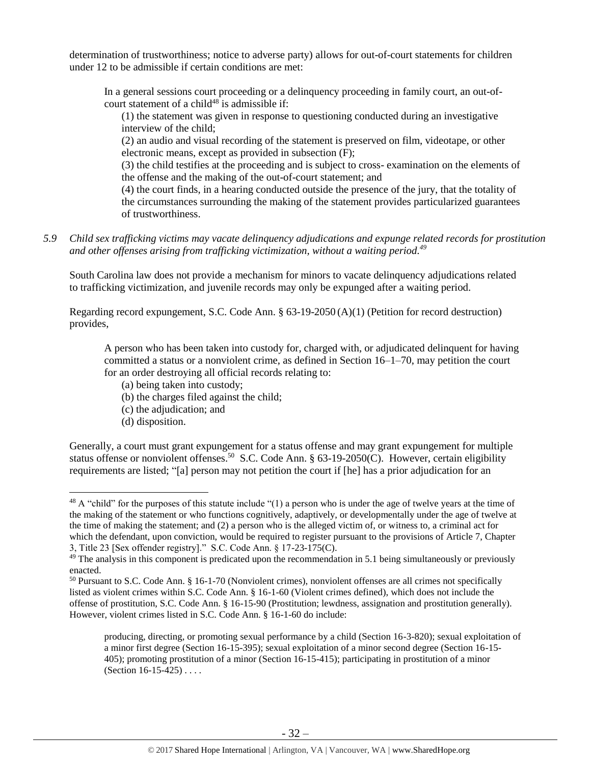determination of trustworthiness; notice to adverse party) allows for out-of-court statements for children under 12 to be admissible if certain conditions are met:

In a general sessions court proceeding or a delinquency proceeding in family court, an out-ofcourt statement of a child<sup>48</sup> is admissible if:

(1) the statement was given in response to questioning conducted during an investigative interview of the child;

(2) an audio and visual recording of the statement is preserved on film, videotape, or other electronic means, except as provided in subsection (F);

(3) the child testifies at the proceeding and is subject to cross- examination on the elements of the offense and the making of the out-of-court statement; and

(4) the court finds, in a hearing conducted outside the presence of the jury, that the totality of the circumstances surrounding the making of the statement provides particularized guarantees of trustworthiness.

# *5.9 Child sex trafficking victims may vacate delinquency adjudications and expunge related records for prostitution and other offenses arising from trafficking victimization, without a waiting period. 49*

South Carolina law does not provide a mechanism for minors to vacate delinquency adjudications related to trafficking victimization, and juvenile records may only be expunged after a waiting period.

Regarding record expungement, S.C. Code Ann. § 63-19-2050 (A)(1) (Petition for record destruction) provides,

A person who has been taken into custody for, charged with, or adjudicated delinquent for having committed a status or a nonviolent crime, as defined in Section 16–1–70, may petition the court for an order destroying all official records relating to:

- (a) being taken into custody;
- (b) the charges filed against the child;
- (c) the adjudication; and
- (d) disposition.

l

Generally, a court must grant expungement for a status offense and may grant expungement for multiple status offense or nonviolent offenses.<sup>50</sup> S.C. Code Ann. § 63-19-2050(C). However, certain eligibility requirements are listed; "[a] person may not petition the court if [he] has a prior adjudication for an

 $^{48}$  A "child" for the purposes of this statute include "(1) a person who is under the age of twelve years at the time of the making of the statement or who functions cognitively, adaptively, or developmentally under the age of twelve at the time of making the statement; and (2) a person who is the alleged victim of, or witness to, a criminal act for which the defendant, upon conviction, would be required to register pursuant to the provisions of Article 7, Chapter 3, Title 23 [Sex offender registry]." S.C. Code Ann. § 17-23-175(C).

 $49$  The analysis in this component is predicated upon the recommendation in 5.1 being simultaneously or previously enacted.

<sup>50</sup> Pursuant to S.C. Code Ann. § 16-1-70 (Nonviolent crimes), nonviolent offenses are all crimes not specifically listed as violent crimes within S.C. Code Ann. § 16-1-60 (Violent crimes defined), which does not include the offense of prostitution, S.C. Code Ann. § 16-15-90 (Prostitution; lewdness, assignation and prostitution generally). However, violent crimes listed in S.C. Code Ann. § 16-1-60 do include:

producing, directing, or promoting sexual performance by a child (Section 16-3-820); sexual exploitation of a minor first degree (Section 16-15-395); sexual exploitation of a minor second degree (Section 16-15- 405); promoting prostitution of a minor (Section 16-15-415); participating in prostitution of a minor (Section 16-15-425) . . . .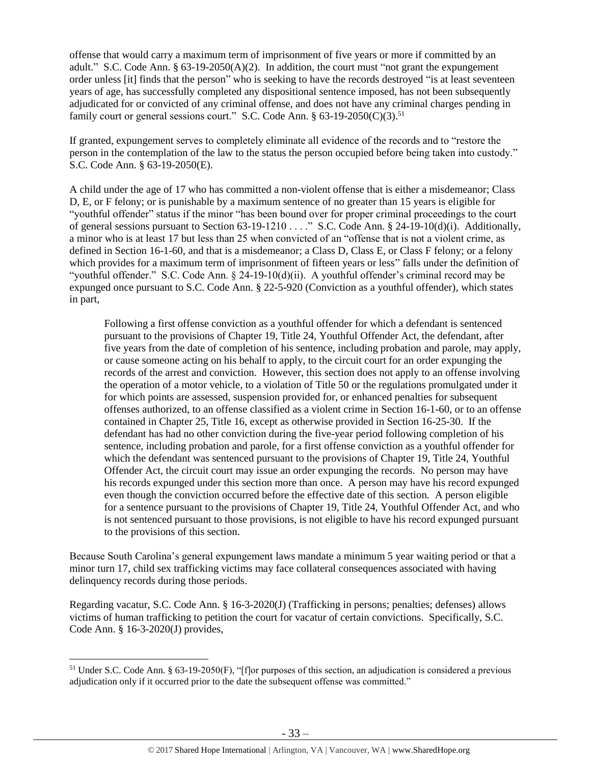offense that would carry a maximum term of imprisonment of five years or more if committed by an adult." S.C. Code Ann.  $\S 63-19-2050(A)(2)$ . In addition, the court must "not grant the expungement" order unless [it] finds that the person" who is seeking to have the records destroyed "is at least seventeen years of age, has successfully completed any dispositional sentence imposed, has not been subsequently adjudicated for or convicted of any criminal offense, and does not have any criminal charges pending in family court or general sessions court." S.C. Code Ann.  $\S 63-19-2050(C)(3)$ .<sup>51</sup>

If granted, expungement serves to completely eliminate all evidence of the records and to "restore the person in the contemplation of the law to the status the person occupied before being taken into custody." S.C. Code Ann. § 63-19-2050(E).

A child under the age of 17 who has committed a non-violent offense that is either a misdemeanor; Class D, E, or F felony; or is punishable by a maximum sentence of no greater than 15 years is eligible for "youthful offender" status if the minor "has been bound over for proper criminal proceedings to the court of general sessions pursuant to Section 63-19-1210 . . . ." S.C. Code Ann. § 24-19-10(d)(i). Additionally, a minor who is at least 17 but less than 25 when convicted of an "offense that is not a violent crime, as defined in Section 16-1-60, and that is a misdemeanor; a Class D, Class E, or Class F felony; or a felony which provides for a maximum term of imprisonment of fifteen years or less" falls under the definition of "youthful offender." S.C. Code Ann. § 24-19-10(d)(ii). A youthful offender's criminal record may be expunged once pursuant to S.C. Code Ann. § 22-5-920 (Conviction as a youthful offender), which states in part,

Following a first offense conviction as a youthful offender for which a defendant is sentenced pursuant to the provisions of Chapter 19, Title 24, Youthful Offender Act, the defendant, after five years from the date of completion of his sentence, including probation and parole, may apply, or cause someone acting on his behalf to apply, to the circuit court for an order expunging the records of the arrest and conviction. However, this section does not apply to an offense involving the operation of a motor vehicle, to a violation of Title 50 or the regulations promulgated under it for which points are assessed, suspension provided for, or enhanced penalties for subsequent offenses authorized, to an offense classified as a violent crime in Section 16-1-60, or to an offense contained in Chapter 25, Title 16, except as otherwise provided in Section 16-25-30. If the defendant has had no other conviction during the five-year period following completion of his sentence, including probation and parole, for a first offense conviction as a youthful offender for which the defendant was sentenced pursuant to the provisions of Chapter 19, Title 24, Youthful Offender Act, the circuit court may issue an order expunging the records. No person may have his records expunged under this section more than once. A person may have his record expunged even though the conviction occurred before the effective date of this section. A person eligible for a sentence pursuant to the provisions of Chapter 19, Title 24, Youthful Offender Act, and who is not sentenced pursuant to those provisions, is not eligible to have his record expunged pursuant to the provisions of this section.

Because South Carolina's general expungement laws mandate a minimum 5 year waiting period or that a minor turn 17, child sex trafficking victims may face collateral consequences associated with having delinquency records during those periods.

Regarding vacatur, S.C. Code Ann. § 16-3-2020(J) (Trafficking in persons; penalties; defenses) allows victims of human trafficking to petition the court for vacatur of certain convictions. Specifically, S.C. Code Ann. § 16-3-2020(J) provides,

 $\overline{a}$ 

<sup>51</sup> Under S.C. Code Ann. § 63-19-2050(F), "[f]or purposes of this section, an adjudication is considered a previous adjudication only if it occurred prior to the date the subsequent offense was committed."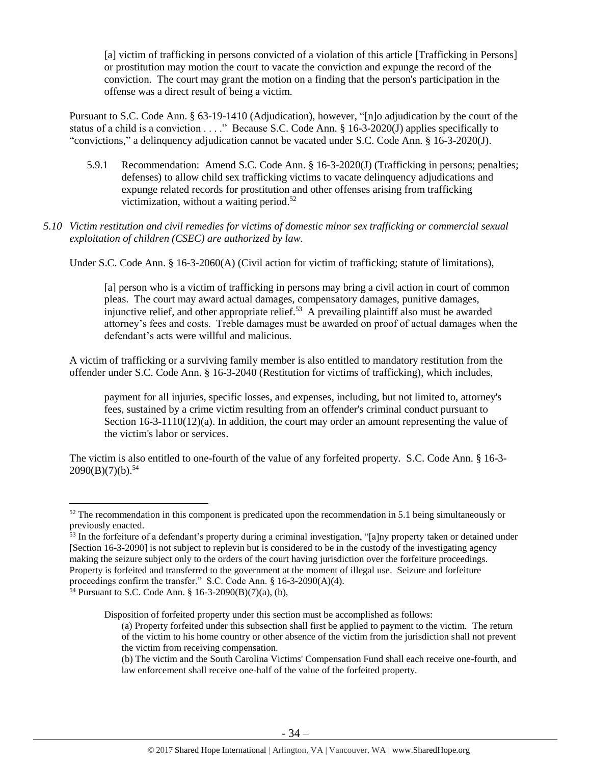[a] victim of trafficking in persons convicted of a violation of this article [Trafficking in Persons] or prostitution may motion the court to vacate the conviction and expunge the record of the conviction. The court may grant the motion on a finding that the person's participation in the offense was a direct result of being a victim.

Pursuant to S.C. Code Ann. § 63-19-1410 (Adjudication), however, "[n]o adjudication by the court of the status of a child is a conviction . . . ." Because S.C. Code Ann. § 16-3-2020(J) applies specifically to "convictions," a delinquency adjudication cannot be vacated under S.C. Code Ann. § 16-3-2020(J).

- 5.9.1 Recommendation: Amend S.C. Code Ann. § 16-3-2020(J) (Trafficking in persons; penalties; defenses) to allow child sex trafficking victims to vacate delinquency adjudications and expunge related records for prostitution and other offenses arising from trafficking victimization, without a waiting period.<sup>52</sup>
- *5.10 Victim restitution and civil remedies for victims of domestic minor sex trafficking or commercial sexual exploitation of children (CSEC) are authorized by law.*

Under S.C. Code Ann. § 16-3-2060(A) (Civil action for victim of trafficking; statute of limitations),

[a] person who is a victim of trafficking in persons may bring a civil action in court of common pleas. The court may award actual damages, compensatory damages, punitive damages, injunctive relief, and other appropriate relief.<sup>53</sup> A prevailing plaintiff also must be awarded attorney's fees and costs. Treble damages must be awarded on proof of actual damages when the defendant's acts were willful and malicious.

A victim of trafficking or a surviving family member is also entitled to mandatory restitution from the offender under S.C. Code Ann. § 16-3-2040 (Restitution for victims of trafficking), which includes,

payment for all injuries, specific losses, and expenses, including, but not limited to, attorney's fees, sustained by a crime victim resulting from an offender's criminal conduct pursuant to Section 16-3-1110(12)(a). In addition, the court may order an amount representing the value of the victim's labor or services.

The victim is also entitled to one-fourth of the value of any forfeited property. S.C. Code Ann. § 16-3-  $2090(B)(7)(b).$ <sup>54</sup>

 $\overline{\phantom{a}}$ 

Disposition of forfeited property under this section must be accomplished as follows:

 $52$  The recommendation in this component is predicated upon the recommendation in 5.1 being simultaneously or previously enacted.

 $53$  In the forfeiture of a defendant's property during a criminal investigation, "[a]ny property taken or detained under [Section 16-3-2090] is not subject to replevin but is considered to be in the custody of the investigating agency making the seizure subject only to the orders of the court having jurisdiction over the forfeiture proceedings. Property is forfeited and transferred to the government at the moment of illegal use. Seizure and forfeiture

proceedings confirm the transfer." S.C. Code Ann. § 16-3-2090(A)(4).

<sup>54</sup> Pursuant to S.C. Code Ann. § 16-3-2090(B)(7)(a), (b),

<sup>(</sup>a) Property forfeited under this subsection shall first be applied to payment to the victim. The return of the victim to his home country or other absence of the victim from the jurisdiction shall not prevent the victim from receiving compensation.

<sup>(</sup>b) The victim and the South Carolina Victims' Compensation Fund shall each receive one-fourth, and law enforcement shall receive one-half of the value of the forfeited property.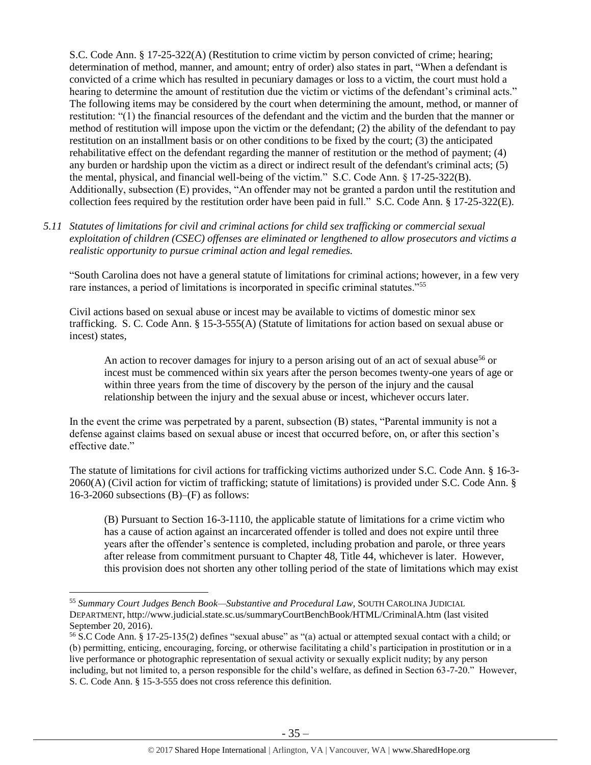S.C. Code Ann. § 17-25-322(A) (Restitution to crime victim by person convicted of crime; hearing; determination of method, manner, and amount; entry of order) also states in part, "When a defendant is convicted of a crime which has resulted in pecuniary damages or loss to a victim, the court must hold a hearing to determine the amount of restitution due the victim or victims of the defendant's criminal acts." The following items may be considered by the court when determining the amount, method, or manner of restitution: "(1) the financial resources of the defendant and the victim and the burden that the manner or method of restitution will impose upon the victim or the defendant; (2) the ability of the defendant to pay restitution on an installment basis or on other conditions to be fixed by the court; (3) the anticipated rehabilitative effect on the defendant regarding the manner of restitution or the method of payment; (4) any burden or hardship upon the victim as a direct or indirect result of the defendant's criminal acts; (5) the mental, physical, and financial well-being of the victim." S.C. Code Ann. § 17-25-322(B). Additionally, subsection (E) provides, "An offender may not be granted a pardon until the restitution and collection fees required by the restitution order have been paid in full." S.C. Code Ann. § 17-25-322(E).

*5.11 Statutes of limitations for civil and criminal actions for child sex trafficking or commercial sexual exploitation of children (CSEC) offenses are eliminated or lengthened to allow prosecutors and victims a realistic opportunity to pursue criminal action and legal remedies.* 

"South Carolina does not have a general statute of limitations for criminal actions; however, in a few very rare instances, a period of limitations is incorporated in specific criminal statutes."<sup>55</sup>

Civil actions based on sexual abuse or incest may be available to victims of domestic minor sex trafficking. S. C. Code Ann. § 15-3-555(A) (Statute of limitations for action based on sexual abuse or incest) states,

An action to recover damages for injury to a person arising out of an act of sexual abuse<sup>56</sup> or incest must be commenced within six years after the person becomes twenty-one years of age or within three years from the time of discovery by the person of the injury and the causal relationship between the injury and the sexual abuse or incest, whichever occurs later.

In the event the crime was perpetrated by a parent, subsection (B) states, "Parental immunity is not a defense against claims based on sexual abuse or incest that occurred before, on, or after this section's effective date."

The statute of limitations for civil actions for trafficking victims authorized under S.C. Code Ann. § 16-3- 2060(A) (Civil action for victim of trafficking; statute of limitations) is provided under S.C. Code Ann. § 16-3-2060 subsections  $(B)$ – $(F)$  as follows:

(B) Pursuant to Section 16-3-1110, the applicable statute of limitations for a crime victim who has a cause of action against an incarcerated offender is tolled and does not expire until three years after the offender's sentence is completed, including probation and parole, or three years after release from commitment pursuant to Chapter 48, Title 44, whichever is later. However, this provision does not shorten any other tolling period of the state of limitations which may exist

 $\overline{a}$ 

<sup>55</sup> *Summary Court Judges Bench Book—Substantive and Procedural Law*, SOUTH CAROLINA JUDICIAL DEPARTMENT, http://www.judicial.state.sc.us/summaryCourtBenchBook/HTML/CriminalA.htm (last visited September 20, 2016).

<sup>56</sup> S.C Code Ann. § 17-25-135(2) defines "sexual abuse" as "(a) actual or attempted sexual contact with a child; or (b) permitting, enticing, encouraging, forcing, or otherwise facilitating a child's participation in prostitution or in a live performance or photographic representation of sexual activity or sexually explicit nudity; by any person including, but not limited to, a person responsible for the child's welfare, as defined in Section 63-7-20." However, S. C. Code Ann. § 15-3-555 does not cross reference this definition.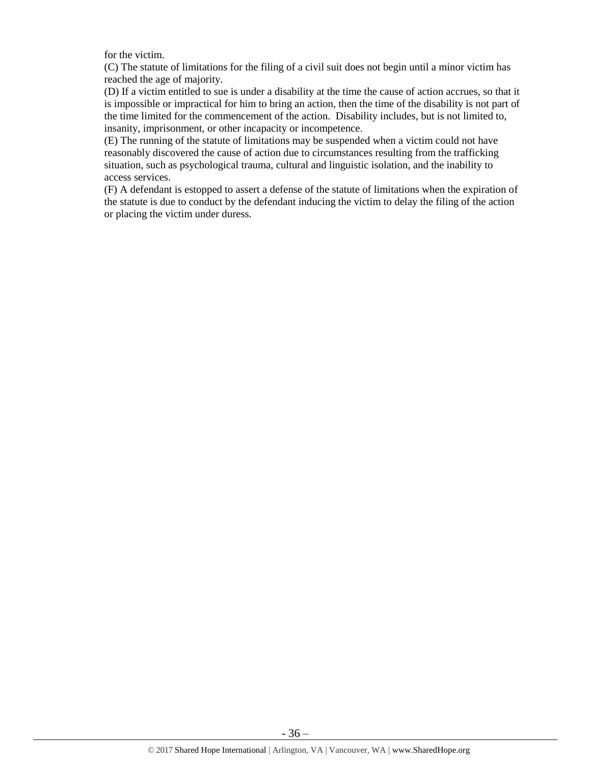for the victim.

(C) The statute of limitations for the filing of a civil suit does not begin until a minor victim has reached the age of majority.

(D) If a victim entitled to sue is under a disability at the time the cause of action accrues, so that it is impossible or impractical for him to bring an action, then the time of the disability is not part of the time limited for the commencement of the action. Disability includes, but is not limited to, insanity, imprisonment, or other incapacity or incompetence.

(E) The running of the statute of limitations may be suspended when a victim could not have reasonably discovered the cause of action due to circumstances resulting from the trafficking situation, such as psychological trauma, cultural and linguistic isolation, and the inability to access services.

(F) A defendant is estopped to assert a defense of the statute of limitations when the expiration of the statute is due to conduct by the defendant inducing the victim to delay the filing of the action or placing the victim under duress.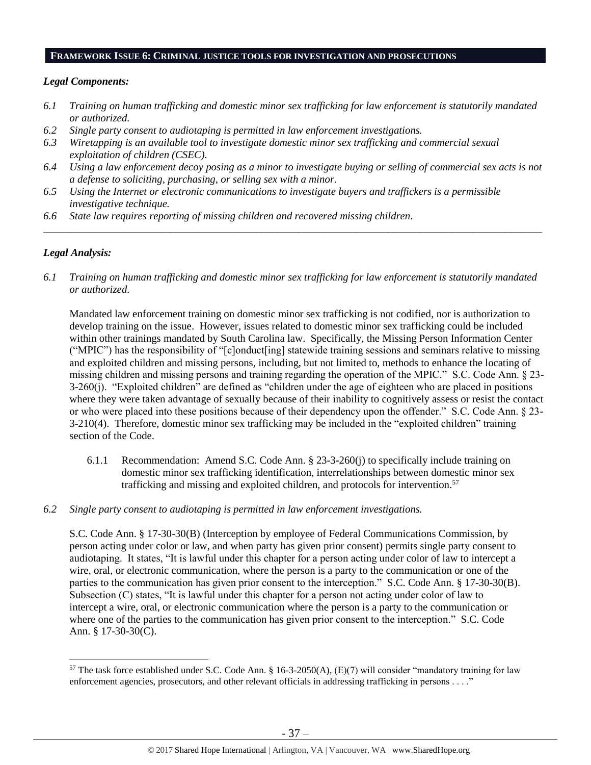#### **FRAMEWORK ISSUE 6: CRIMINAL JUSTICE TOOLS FOR INVESTIGATION AND PROSECUTIONS**

## *Legal Components:*

- *6.1 Training on human trafficking and domestic minor sex trafficking for law enforcement is statutorily mandated or authorized.*
- *6.2 Single party consent to audiotaping is permitted in law enforcement investigations.*
- *6.3 Wiretapping is an available tool to investigate domestic minor sex trafficking and commercial sexual exploitation of children (CSEC).*
- *6.4 Using a law enforcement decoy posing as a minor to investigate buying or selling of commercial sex acts is not a defense to soliciting, purchasing, or selling sex with a minor.*
- *6.5 Using the Internet or electronic communications to investigate buyers and traffickers is a permissible investigative technique.*
- *6.6 State law requires reporting of missing children and recovered missing children.*

## *Legal Analysis:*

 $\overline{a}$ 

*6.1 Training on human trafficking and domestic minor sex trafficking for law enforcement is statutorily mandated or authorized.*

*\_\_\_\_\_\_\_\_\_\_\_\_\_\_\_\_\_\_\_\_\_\_\_\_\_\_\_\_\_\_\_\_\_\_\_\_\_\_\_\_\_\_\_\_\_\_\_\_\_\_\_\_\_\_\_\_\_\_\_\_\_\_\_\_\_\_\_\_\_\_\_\_\_\_\_\_\_\_\_\_\_\_\_\_\_\_\_\_\_\_\_\_\_\_*

Mandated law enforcement training on domestic minor sex trafficking is not codified, nor is authorization to develop training on the issue. However, issues related to domestic minor sex trafficking could be included within other trainings mandated by South Carolina law. Specifically, the Missing Person Information Center ("MPIC") has the responsibility of "[c]onduct[ing] statewide training sessions and seminars relative to missing and exploited children and missing persons, including, but not limited to, methods to enhance the locating of missing children and missing persons and training regarding the operation of the MPIC." S.C. Code Ann. § 23- 3-260(j). "Exploited children" are defined as "children under the age of eighteen who are placed in positions where they were taken advantage of sexually because of their inability to cognitively assess or resist the contact or who were placed into these positions because of their dependency upon the offender." S.C. Code Ann. § 23- 3-210(4). Therefore, domestic minor sex trafficking may be included in the "exploited children" training section of the Code.

- 6.1.1 Recommendation: Amend S.C. Code Ann. § 23-3-260(j) to specifically include training on domestic minor sex trafficking identification, interrelationships between domestic minor sex trafficking and missing and exploited children, and protocols for intervention.<sup>57</sup>
- *6.2 Single party consent to audiotaping is permitted in law enforcement investigations.*

S.C. Code Ann. § 17-30-30(B) (Interception by employee of Federal Communications Commission, by person acting under color or law, and when party has given prior consent) permits single party consent to audiotaping. It states, "It is lawful under this chapter for a person acting under color of law to intercept a wire, oral, or electronic communication, where the person is a party to the communication or one of the parties to the communication has given prior consent to the interception." S.C. Code Ann. § 17-30-30(B). Subsection (C) states, "It is lawful under this chapter for a person not acting under color of law to intercept a wire, oral, or electronic communication where the person is a party to the communication or where one of the parties to the communication has given prior consent to the interception." S.C. Code Ann. § 17-30-30(C).

<sup>&</sup>lt;sup>57</sup> The task force established under S.C. Code Ann. § 16-3-2050(A),  $(E)(7)$  will consider "mandatory training for law enforcement agencies, prosecutors, and other relevant officials in addressing trafficking in persons . . . ."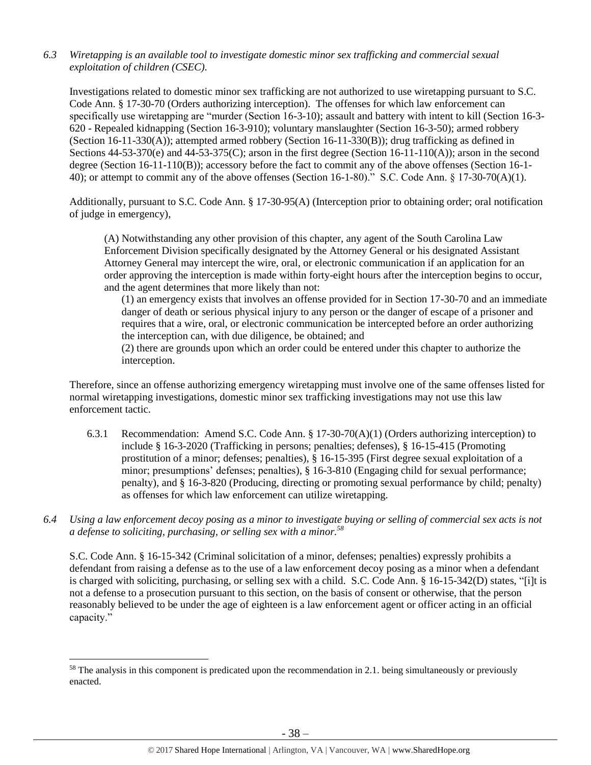# *6.3 Wiretapping is an available tool to investigate domestic minor sex trafficking and commercial sexual exploitation of children (CSEC).*

Investigations related to domestic minor sex trafficking are not authorized to use wiretapping pursuant to S.C. Code Ann. § 17-30-70 (Orders authorizing interception). The offenses for which law enforcement can specifically use wiretapping are "murder (Section 16-3-10); assault and battery with intent to kill (Section 16-3- 620 - Repealed kidnapping (Section 16-3-910); voluntary manslaughter (Section 16-3-50); armed robbery (Section 16-11-330(A)); attempted armed robbery (Section 16-11-330(B)); drug trafficking as defined in Sections  $44-53-370(e)$  and  $44-53-375(C)$ ; arson in the first degree (Section 16-11-110(A)); arson in the second degree (Section 16-11-110(B)); accessory before the fact to commit any of the above offenses (Section 16-1- 40); or attempt to commit any of the above offenses (Section 16-1-80)." S.C. Code Ann. § 17-30-70(A)(1).

Additionally, pursuant to S.C. Code Ann. § 17-30-95(A) (Interception prior to obtaining order; oral notification of judge in emergency),

(A) Notwithstanding any other provision of this chapter, any agent of the South Carolina Law Enforcement Division specifically designated by the Attorney General or his designated Assistant Attorney General may intercept the wire, oral, or electronic communication if an application for an order approving the interception is made within forty-eight hours after the interception begins to occur, and the agent determines that more likely than not:

(1) an emergency exists that involves an offense provided for in Section 17-30-70 and an immediate danger of death or serious physical injury to any person or the danger of escape of a prisoner and requires that a wire, oral, or electronic communication be intercepted before an order authorizing the interception can, with due diligence, be obtained; and

(2) there are grounds upon which an order could be entered under this chapter to authorize the interception.

Therefore, since an offense authorizing emergency wiretapping must involve one of the same offenses listed for normal wiretapping investigations, domestic minor sex trafficking investigations may not use this law enforcement tactic.

- 6.3.1 Recommendation: Amend S.C. Code Ann. § 17-30-70(A)(1) (Orders authorizing interception) to include § 16-3-2020 (Trafficking in persons; penalties; defenses), § 16-15-415 (Promoting prostitution of a minor; defenses; penalties), § 16-15-395 (First degree sexual exploitation of a minor; presumptions' defenses; penalties), § 16-3-810 (Engaging child for sexual performance; penalty), and § 16-3-820 (Producing, directing or promoting sexual performance by child; penalty) as offenses for which law enforcement can utilize wiretapping.
- *6.4 Using a law enforcement decoy posing as a minor to investigate buying or selling of commercial sex acts is not a defense to soliciting, purchasing, or selling sex with a minor.<sup>58</sup>*

S.C. Code Ann. § 16-15-342 (Criminal solicitation of a minor, defenses; penalties) expressly prohibits a defendant from raising a defense as to the use of a law enforcement decoy posing as a minor when a defendant is charged with soliciting, purchasing, or selling sex with a child. S.C. Code Ann. § 16-15-342(D) states, "[i]t is not a defense to a prosecution pursuant to this section, on the basis of consent or otherwise, that the person reasonably believed to be under the age of eighteen is a law enforcement agent or officer acting in an official capacity."

 $\overline{a}$ 

<sup>&</sup>lt;sup>58</sup> The analysis in this component is predicated upon the recommendation in 2.1. being simultaneously or previously enacted.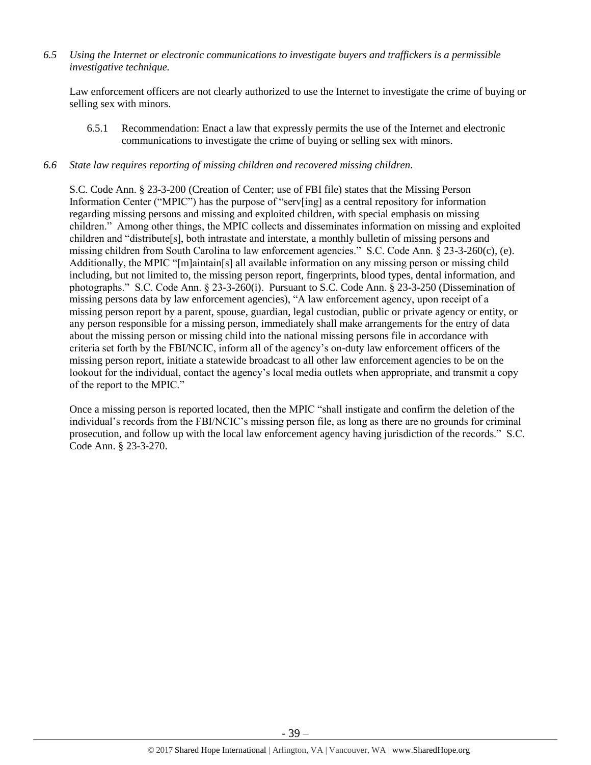*6.5 Using the Internet or electronic communications to investigate buyers and traffickers is a permissible investigative technique.*

Law enforcement officers are not clearly authorized to use the Internet to investigate the crime of buying or selling sex with minors.

6.5.1 Recommendation: Enact a law that expressly permits the use of the Internet and electronic communications to investigate the crime of buying or selling sex with minors.

#### *6.6 State law requires reporting of missing children and recovered missing children.*

S.C. Code Ann. § 23-3-200 (Creation of Center; use of FBI file) states that the Missing Person Information Center ("MPIC") has the purpose of "serv[ing] as a central repository for information regarding missing persons and missing and exploited children, with special emphasis on missing children." Among other things, the MPIC collects and disseminates information on missing and exploited children and "distribute[s], both intrastate and interstate, a monthly bulletin of missing persons and missing children from South Carolina to law enforcement agencies." S.C. Code Ann. § 23-3-260(c), (e). Additionally, the MPIC "[m]aintain[s] all available information on any missing person or missing child including, but not limited to, the missing person report, fingerprints, blood types, dental information, and photographs." S.C. Code Ann. § 23-3-260(i). Pursuant to S.C. Code Ann. § 23-3-250 (Dissemination of missing persons data by law enforcement agencies), "A law enforcement agency, upon receipt of a missing person report by a parent, spouse, guardian, legal custodian, public or private agency or entity, or any person responsible for a missing person, immediately shall make arrangements for the entry of data about the missing person or missing child into the national missing persons file in accordance with criteria set forth by the FBI/NCIC, inform all of the agency's on-duty law enforcement officers of the missing person report, initiate a statewide broadcast to all other law enforcement agencies to be on the lookout for the individual, contact the agency's local media outlets when appropriate, and transmit a copy of the report to the MPIC."

Once a missing person is reported located, then the MPIC "shall instigate and confirm the deletion of the individual's records from the FBI/NCIC's missing person file, as long as there are no grounds for criminal prosecution, and follow up with the local law enforcement agency having jurisdiction of the records." S.C. Code Ann. § 23-3-270.